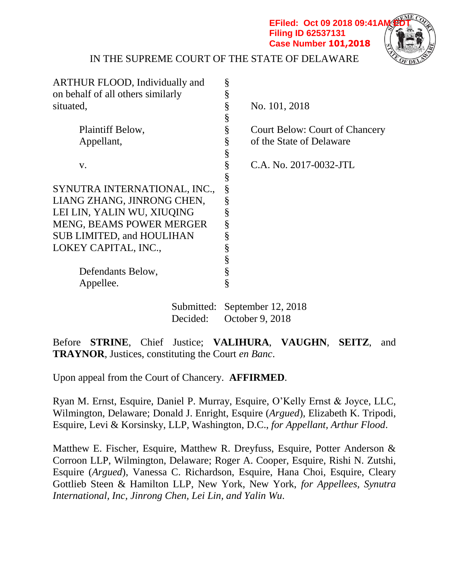**EFiled: Oct 09 2018 09:41 AM Filing ID 62537131 Case Number 101,2018**



IN THE SUPREME COURT OF THE STATE OF DELAWARE

| ARTHUR FLOOD, Individually and    | §                                          |
|-----------------------------------|--------------------------------------------|
| on behalf of all others similarly | §                                          |
| situated,                         | §<br>No. 101, 2018                         |
|                                   | §                                          |
| Plaintiff Below,                  | §<br><b>Court Below: Court of Chancery</b> |
| Appellant,                        | §<br>of the State of Delaware              |
|                                   | §                                          |
| V.                                | §<br>C.A. No. 2017-0032-JTL                |
|                                   | §                                          |
| SYNUTRA INTERNATIONAL, INC.,      | §                                          |
| LIANG ZHANG, JINRONG CHEN,        | §                                          |
| LEI LIN, YALIN WU, XIUQING        | §                                          |
| <b>MENG, BEAMS POWER MERGER</b>   | §                                          |
| <b>SUB LIMITED, and HOULIHAN</b>  | §                                          |
| LOKEY CAPITAL, INC.,              | §                                          |
|                                   | §                                          |
| Defendants Below,                 | §                                          |
| Appellee.                         | §                                          |
|                                   | Submitted: September 12, 2018              |
|                                   |                                            |

Decided: October 9, 2018

Before **STRINE**, Chief Justice; **VALIHURA**, **VAUGHN**, **SEITZ**, and **TRAYNOR**, Justices, constituting the Court *en Banc*.

Upon appeal from the Court of Chancery. **AFFIRMED**.

Ryan M. Ernst, Esquire, Daniel P. Murray, Esquire, O'Kelly Ernst & Joyce, LLC, Wilmington, Delaware; Donald J. Enright, Esquire (*Argued*), Elizabeth K. Tripodi, Esquire, Levi & Korsinsky, LLP, Washington, D.C., *for Appellant, Arthur Flood*.

Matthew E. Fischer, Esquire, Matthew R. Dreyfuss, Esquire, Potter Anderson & Corroon LLP, Wilmington, Delaware; Roger A. Cooper, Esquire, Rishi N. Zutshi, Esquire (*Argued*), Vanessa C. Richardson, Esquire, Hana Choi, Esquire, Cleary Gottlieb Steen & Hamilton LLP, New York, New York, *for Appellees, Synutra International, Inc, Jinrong Chen, Lei Lin, and Yalin Wu*.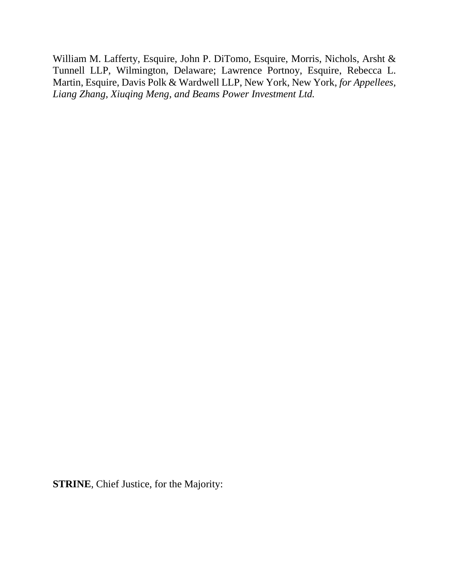William M. Lafferty, Esquire, John P. DiTomo, Esquire, Morris, Nichols, Arsht & Tunnell LLP, Wilmington, Delaware; Lawrence Portnoy, Esquire, Rebecca L. Martin, Esquire, Davis Polk & Wardwell LLP, New York, New York, *for Appellees, Liang Zhang, Xiuqing Meng, and Beams Power Investment Ltd.*

**STRINE**, Chief Justice, for the Majority: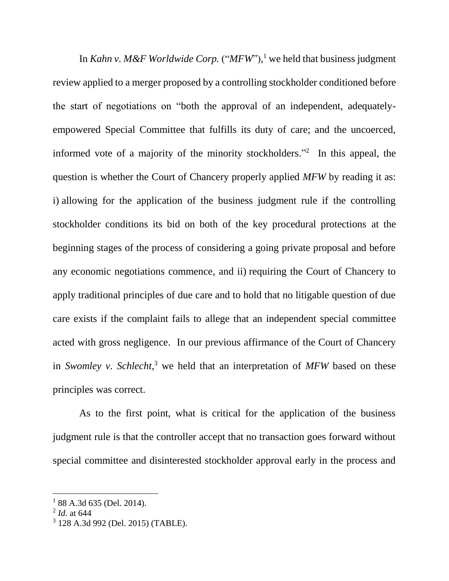In *Kahn v. M&F Worldwide Corp.* ("*MFW*"), <sup>1</sup> we held that business judgment review applied to a merger proposed by a controlling stockholder conditioned before the start of negotiations on "both the approval of an independent, adequatelyempowered Special Committee that fulfills its duty of care; and the uncoerced, informed vote of a majority of the minority stockholders." 2 In this appeal, the question is whether the Court of Chancery properly applied *MFW* by reading it as: i) allowing for the application of the business judgment rule if the controlling stockholder conditions its bid on both of the key procedural protections at the beginning stages of the process of considering a going private proposal and before any economic negotiations commence, and ii) requiring the Court of Chancery to apply traditional principles of due care and to hold that no litigable question of due care exists if the complaint fails to allege that an independent special committee acted with gross negligence. In our previous affirmance of the Court of Chancery in *Swomley v. Schlecht*, <sup>3</sup> we held that an interpretation of *MFW* based on these principles was correct.

As to the first point, what is critical for the application of the business judgment rule is that the controller accept that no transaction goes forward without special committee and disinterested stockholder approval early in the process and

<sup>&</sup>lt;sup>1</sup> 88 A.3d 635 (Del. 2014).

<sup>2</sup> *Id.* at 644

<sup>3</sup> 128 A.3d 992 (Del. 2015) (TABLE).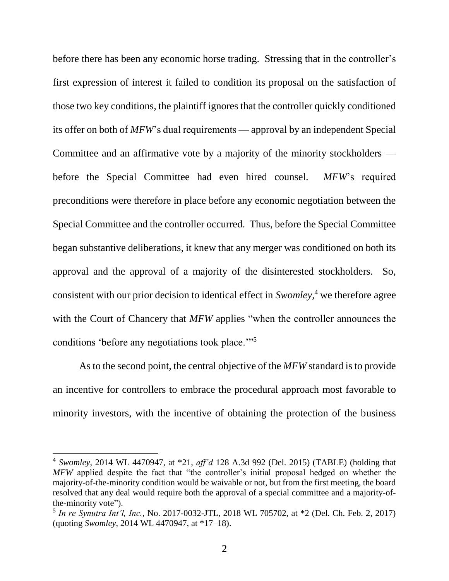before there has been any economic horse trading. Stressing that in the controller's first expression of interest it failed to condition its proposal on the satisfaction of those two key conditions, the plaintiff ignores that the controller quickly conditioned its offer on both of *MFW*'s dual requirements — approval by an independent Special Committee and an affirmative vote by a majority of the minority stockholders before the Special Committee had even hired counsel. *MFW*'s required preconditions were therefore in place before any economic negotiation between the Special Committee and the controller occurred. Thus, before the Special Committee began substantive deliberations, it knew that any merger was conditioned on both its approval and the approval of a majority of the disinterested stockholders. So, consistent with our prior decision to identical effect in *Swomley*, <sup>4</sup> we therefore agree with the Court of Chancery that *MFW* applies "when the controller announces the conditions 'before any negotiations took place.'"<sup>5</sup>

As to the second point, the central objective of the *MFW* standard is to provide an incentive for controllers to embrace the procedural approach most favorable to minority investors, with the incentive of obtaining the protection of the business

<sup>4</sup> *Swomley*, 2014 WL 4470947, at \*21, *aff'd* 128 A.3d 992 (Del. 2015) (TABLE) (holding that *MFW* applied despite the fact that "the controller's initial proposal hedged on whether the majority-of-the-minority condition would be waivable or not, but from the first meeting, the board resolved that any deal would require both the approval of a special committee and a majority-ofthe-minority vote").

<sup>5</sup> *In re Synutra Int'l, Inc.*, No. 2017-0032-JTL, 2018 WL 705702, at \*2 (Del. Ch. Feb. 2, 2017) (quoting *Swomley*, 2014 WL 4470947, at \*17–18).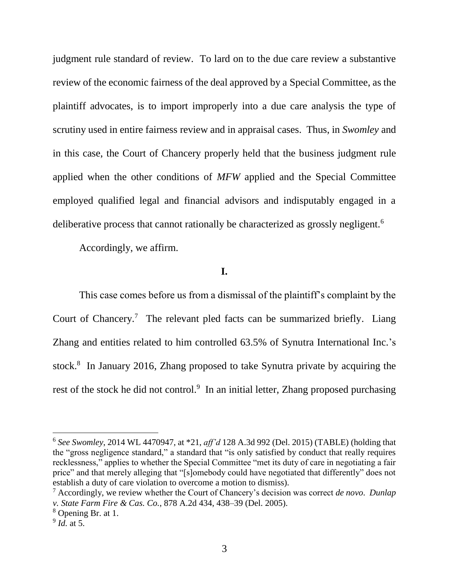judgment rule standard of review. To lard on to the due care review a substantive review of the economic fairness of the deal approved by a Special Committee, as the plaintiff advocates, is to import improperly into a due care analysis the type of scrutiny used in entire fairness review and in appraisal cases. Thus, in *Swomley* and in this case, the Court of Chancery properly held that the business judgment rule applied when the other conditions of *MFW* applied and the Special Committee employed qualified legal and financial advisors and indisputably engaged in a deliberative process that cannot rationally be characterized as grossly negligent.<sup>6</sup>

Accordingly, we affirm.

# **I.**

This case comes before us from a dismissal of the plaintiff's complaint by the Court of Chancery.<sup>7</sup> The relevant pled facts can be summarized briefly. Liang Zhang and entities related to him controlled 63.5% of Synutra International Inc.'s stock.<sup>8</sup> In January 2016, Zhang proposed to take Synutra private by acquiring the rest of the stock he did not control.<sup>9</sup> In an initial letter, Zhang proposed purchasing

<sup>6</sup> *See Swomley*, 2014 WL 4470947, at \*21, *aff'd* 128 A.3d 992 (Del. 2015) (TABLE) (holding that the "gross negligence standard," a standard that "is only satisfied by conduct that really requires recklessness," applies to whether the Special Committee "met its duty of care in negotiating a fair price" and that merely alleging that "[s]omebody could have negotiated that differently" does not establish a duty of care violation to overcome a motion to dismiss).

<sup>7</sup> Accordingly, we review whether the Court of Chancery's decision was correct *de novo*. *Dunlap v. State Farm Fire & Cas. Co.*, 878 A.2d 434, 438–39 (Del. 2005).

<sup>8</sup> Opening Br. at 1.

<sup>9</sup> *Id.* at 5.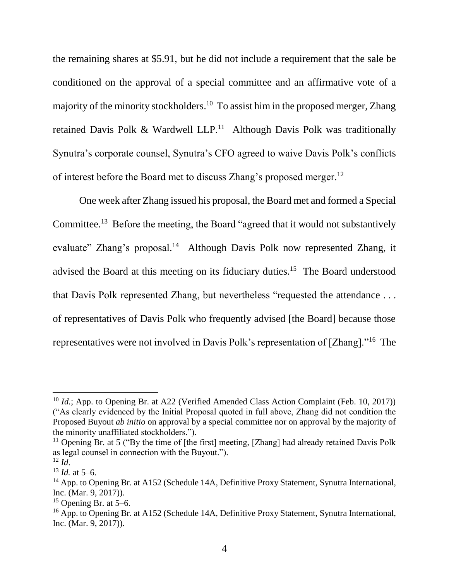the remaining shares at \$5.91, but he did not include a requirement that the sale be conditioned on the approval of a special committee and an affirmative vote of a majority of the minority stockholders.<sup>10</sup> To assist him in the proposed merger, Zhang retained Davis Polk & Wardwell  $LLP<sup>11</sup>$  Although Davis Polk was traditionally Synutra's corporate counsel, Synutra's CFO agreed to waive Davis Polk's conflicts of interest before the Board met to discuss Zhang's proposed merger.<sup>12</sup>

One week after Zhang issued his proposal, the Board met and formed a Special Committee.<sup>13</sup> Before the meeting, the Board "agreed that it would not substantively evaluate" Zhang's proposal.<sup>14</sup> Although Davis Polk now represented Zhang, it advised the Board at this meeting on its fiduciary duties.<sup>15</sup> The Board understood that Davis Polk represented Zhang, but nevertheless "requested the attendance . . . of representatives of Davis Polk who frequently advised [the Board] because those representatives were not involved in Davis Polk's representation of [Zhang]."<sup>16</sup> The

<sup>&</sup>lt;sup>10</sup> *Id.*; App. to Opening Br. at A22 (Verified Amended Class Action Complaint (Feb. 10, 2017)) ("As clearly evidenced by the Initial Proposal quoted in full above, Zhang did not condition the Proposed Buyout *ab initio* on approval by a special committee nor on approval by the majority of the minority unaffiliated stockholders.").

<sup>&</sup>lt;sup>11</sup> Opening Br. at 5 ("By the time of [the first] meeting, [Zhang] had already retained Davis Polk as legal counsel in connection with the Buyout.").

 $12 \, Id.$ 

 $13$  *Id.* at 5–6.

<sup>&</sup>lt;sup>14</sup> App. to Opening Br. at A152 (Schedule 14A, Definitive Proxy Statement, Synutra International, Inc. (Mar. 9, 2017)).

 $15$  Opening Br. at 5–6.

<sup>&</sup>lt;sup>16</sup> App. to Opening Br. at A152 (Schedule 14A, Definitive Proxy Statement, Synutra International, Inc. (Mar. 9, 2017)).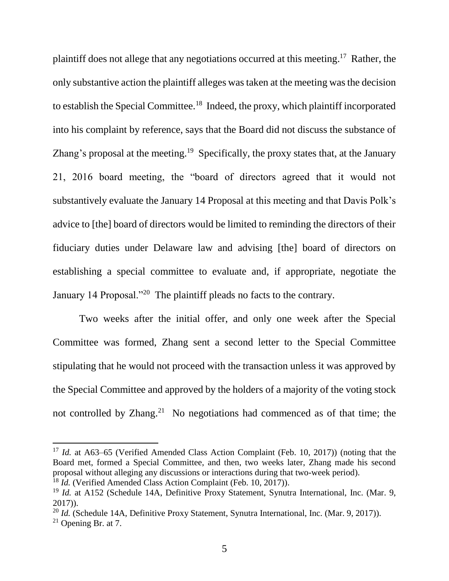plaintiff does not allege that any negotiations occurred at this meeting.<sup>17</sup> Rather, the only substantive action the plaintiff alleges was taken at the meeting was the decision to establish the Special Committee.<sup>18</sup> Indeed, the proxy, which plaintiff incorporated into his complaint by reference, says that the Board did not discuss the substance of Zhang's proposal at the meeting.<sup>19</sup> Specifically, the proxy states that, at the January 21, 2016 board meeting, the "board of directors agreed that it would not substantively evaluate the January 14 Proposal at this meeting and that Davis Polk's advice to [the] board of directors would be limited to reminding the directors of their fiduciary duties under Delaware law and advising [the] board of directors on establishing a special committee to evaluate and, if appropriate, negotiate the January 14 Proposal."<sup>20</sup> The plaintiff pleads no facts to the contrary.

Two weeks after the initial offer, and only one week after the Special Committee was formed, Zhang sent a second letter to the Special Committee stipulating that he would not proceed with the transaction unless it was approved by the Special Committee and approved by the holders of a majority of the voting stock not controlled by Zhang.<sup>21</sup> No negotiations had commenced as of that time; the

<sup>&</sup>lt;sup>17</sup> *Id.* at A63–65 (Verified Amended Class Action Complaint (Feb. 10, 2017)) (noting that the Board met, formed a Special Committee, and then, two weeks later, Zhang made his second proposal without alleging any discussions or interactions during that two-week period).

<sup>18</sup> *Id.* (Verified Amended Class Action Complaint (Feb. 10, 2017)).

<sup>&</sup>lt;sup>19</sup> *Id.* at A152 (Schedule 14A, Definitive Proxy Statement, Synutra International, Inc. (Mar. 9, 2017)).

<sup>&</sup>lt;sup>20</sup> *Id.* (Schedule 14A, Definitive Proxy Statement, Synutra International, Inc. (Mar. 9, 2017)).

 $21$  Opening Br. at 7.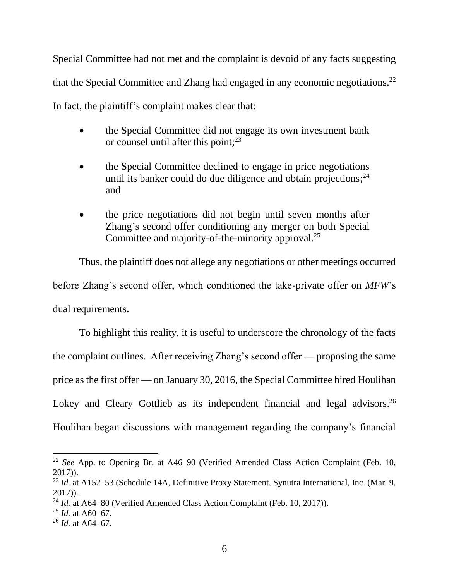Special Committee had not met and the complaint is devoid of any facts suggesting that the Special Committee and Zhang had engaged in any economic negotiations.<sup>22</sup> In fact, the plaintiff's complaint makes clear that:

- the Special Committee did not engage its own investment bank or counsel until after this point;<sup>23</sup>
- the Special Committee declined to engage in price negotiations until its banker could do due diligence and obtain projections;<sup>24</sup> and
- the price negotiations did not begin until seven months after Zhang's second offer conditioning any merger on both Special Committee and majority-of-the-minority approval.<sup>25</sup>

Thus, the plaintiff does not allege any negotiations or other meetings occurred before Zhang's second offer, which conditioned the take-private offer on *MFW*'s dual requirements.

To highlight this reality, it is useful to underscore the chronology of the facts the complaint outlines. After receiving Zhang's second offer — proposing the same price as the first offer — on January 30, 2016, the Special Committee hired Houlihan Lokey and Cleary Gottlieb as its independent financial and legal advisors.<sup>26</sup> Houlihan began discussions with management regarding the company's financial

<sup>22</sup> *See* App. to Opening Br. at A46–90 (Verified Amended Class Action Complaint (Feb. 10, 2017)).

<sup>&</sup>lt;sup>23</sup> *Id.* at A152–53 (Schedule 14A, Definitive Proxy Statement, Synutra International, Inc. (Mar. 9, 2017)).

<sup>&</sup>lt;sup>24</sup> *Id.* at A64–80 (Verified Amended Class Action Complaint (Feb. 10, 2017)).

 $^{25}$  *Id.* at A60–67.

<sup>26</sup> *Id.* at A64–67.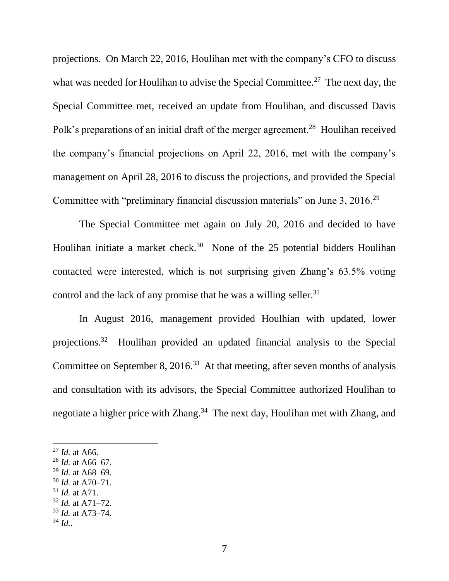projections. On March 22, 2016, Houlihan met with the company's CFO to discuss what was needed for Houlihan to advise the Special Committee.<sup>27</sup> The next day, the Special Committee met, received an update from Houlihan, and discussed Davis Polk's preparations of an initial draft of the merger agreement.<sup>28</sup> Houlihan received the company's financial projections on April 22, 2016, met with the company's management on April 28, 2016 to discuss the projections, and provided the Special Committee with "preliminary financial discussion materials" on June 3, 2016.<sup>29</sup>

The Special Committee met again on July 20, 2016 and decided to have Houlihan initiate a market check.<sup>30</sup> None of the 25 potential bidders Houlihan contacted were interested, which is not surprising given Zhang's 63.5% voting control and the lack of any promise that he was a willing seller. 31

In August 2016, management provided Houlhian with updated, lower projections.<sup>32</sup> Houlihan provided an updated financial analysis to the Special Committee on September 8, 2016.<sup>33</sup> At that meeting, after seven months of analysis and consultation with its advisors, the Special Committee authorized Houlihan to negotiate a higher price with Zhang.<sup>34</sup> The next day, Houlihan met with Zhang, and

- <sup>29</sup> *Id.* at A68–69.
- <sup>30</sup> *Id.* at A70–71.
- <sup>31</sup> *Id.* at A71.
- <sup>32</sup> *Id.* at A71–72.
- <sup>33</sup> *Id.* at A73–74. <sup>34</sup> *Id.*.

<sup>27</sup> *Id.* at A66.

<sup>28</sup> *Id.* at A66–67.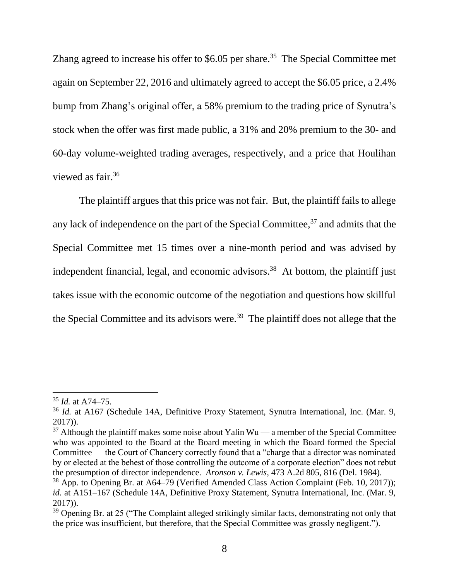Zhang agreed to increase his offer to \$6.05 per share.<sup>35</sup> The Special Committee met again on September 22, 2016 and ultimately agreed to accept the \$6.05 price, a 2.4% bump from Zhang's original offer, a 58% premium to the trading price of Synutra's stock when the offer was first made public, a 31% and 20% premium to the 30- and 60-day volume-weighted trading averages, respectively, and a price that Houlihan viewed as fair. 36

The plaintiff argues that this price was not fair. But, the plaintiff fails to allege any lack of independence on the part of the Special Committee,<sup>37</sup> and admits that the Special Committee met 15 times over a nine-month period and was advised by independent financial, legal, and economic advisors. 38 At bottom, the plaintiff just takes issue with the economic outcome of the negotiation and questions how skillful the Special Committee and its advisors were.<sup>39</sup> The plaintiff does not allege that the

<sup>35</sup> *Id.* at A74–75.

<sup>36</sup> *Id.* at A167 (Schedule 14A, Definitive Proxy Statement, Synutra International, Inc. (Mar. 9, 2017)).

 $37$  Although the plaintiff makes some noise about Yalin Wu — a member of the Special Committee who was appointed to the Board at the Board meeting in which the Board formed the Special Committee — the Court of Chancery correctly found that a "charge that a director was nominated by or elected at the behest of those controlling the outcome of a corporate election" does not rebut the presumption of director independence. *Aronson v. Lewis*, 473 A.2d 805, 816 (Del. 1984).

<sup>38</sup> App. to Opening Br. at A64–79 (Verified Amended Class Action Complaint (Feb. 10, 2017)); *id.* at A151–167 (Schedule 14A, Definitive Proxy Statement, Synutra International, Inc. (Mar. 9, 2017)).

<sup>&</sup>lt;sup>39</sup> Opening Br. at 25 ("The Complaint alleged strikingly similar facts, demonstrating not only that the price was insufficient, but therefore, that the Special Committee was grossly negligent.").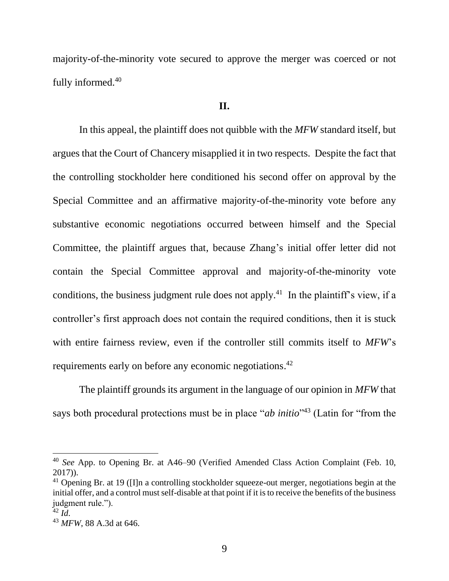majority-of-the-minority vote secured to approve the merger was coerced or not fully informed.<sup>40</sup>

#### **II.**

In this appeal, the plaintiff does not quibble with the *MFW* standard itself, but argues that the Court of Chancery misapplied it in two respects. Despite the fact that the controlling stockholder here conditioned his second offer on approval by the Special Committee and an affirmative majority-of-the-minority vote before any substantive economic negotiations occurred between himself and the Special Committee, the plaintiff argues that, because Zhang's initial offer letter did not contain the Special Committee approval and majority-of-the-minority vote conditions, the business judgment rule does not apply.<sup>41</sup> In the plaintiff's view, if a controller's first approach does not contain the required conditions, then it is stuck with entire fairness review, even if the controller still commits itself to *MFW*'s requirements early on before any economic negotiations.<sup>42</sup>

The plaintiff grounds its argument in the language of our opinion in *MFW* that says both procedural protections must be in place "*ab initio*" <sup>43</sup> (Latin for "from the

<sup>40</sup> *See* App. to Opening Br. at A46–90 (Verified Amended Class Action Complaint (Feb. 10, 2017)).

 $41$  Opening Br. at 19 ([I]n a controlling stockholder squeeze-out merger, negotiations begin at the initial offer, and a control must self-disable at that point if it is to receive the benefits of the business judgment rule.").

 $42$  *Id.* 

<sup>43</sup> *MFW*, 88 A.3d at 646.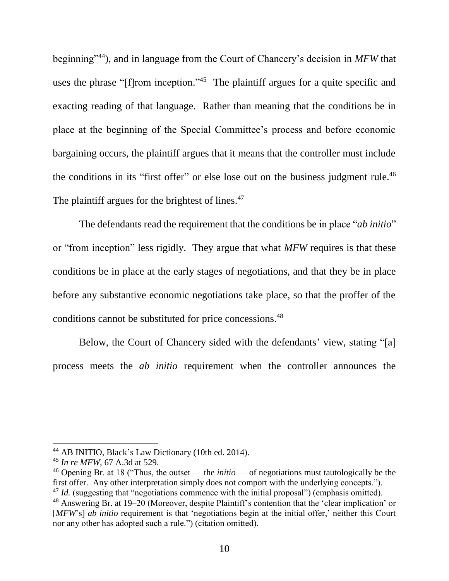beginning"<sup>44</sup>), and in language from the Court of Chancery's decision in *MFW* that uses the phrase "[f]rom inception."<sup>45</sup> The plaintiff argues for a quite specific and exacting reading of that language. Rather than meaning that the conditions be in place at the beginning of the Special Committee's process and before economic bargaining occurs, the plaintiff argues that it means that the controller must include the conditions in its "first offer" or else lose out on the business judgment rule.<sup>46</sup> The plaintiff argues for the brightest of lines.<sup>47</sup>

The defendants read the requirement that the conditions be in place "*ab initio*" or "from inception" less rigidly. They argue that what *MFW* requires is that these conditions be in place at the early stages of negotiations, and that they be in place before any substantive economic negotiations take place, so that the proffer of the conditions cannot be substituted for price concessions.<sup>48</sup>

Below, the Court of Chancery sided with the defendants' view, stating "[a] process meets the *ab initio* requirement when the controller announces the

<sup>&</sup>lt;sup>44</sup> AB INITIO, Black's Law Dictionary (10th ed. 2014).

<sup>45</sup> *In re MFW*, 67 A.3d at 529.

<sup>46</sup> Opening Br. at 18 ("Thus, the outset — the *initio* — of negotiations must tautologically be the first offer. Any other interpretation simply does not comport with the underlying concepts."). <sup>47</sup> *Id.* (suggesting that "negotiations commence with the initial proposal") (emphasis omitted).

<sup>48</sup> Answering Br. at 19–20 (Moreover, despite Plaintiff's contention that the 'clear implication' or

<sup>[</sup>*MFW*'s] *ab initio* requirement is that 'negotiations begin at the initial offer,' neither this Court nor any other has adopted such a rule.") (citation omitted).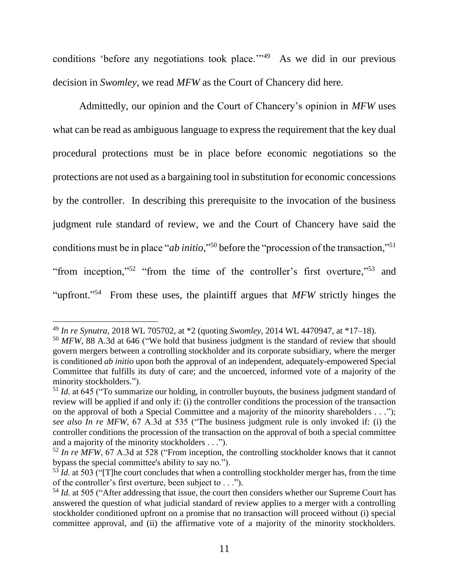conditions 'before any negotiations took place.'"<sup>49</sup> As we did in our previous decision in *Swomley*, we read *MFW* as the Court of Chancery did here.

Admittedly, our opinion and the Court of Chancery's opinion in *MFW* uses what can be read as ambiguous language to express the requirement that the key dual procedural protections must be in place before economic negotiations so the protections are not used as a bargaining tool in substitution for economic concessions by the controller. In describing this prerequisite to the invocation of the business judgment rule standard of review, we and the Court of Chancery have said the conditions must be in place "*ab initio*,"<sup>50</sup> before the "procession of the transaction,"<sup>51</sup> "from inception,"<sup>52</sup> "from the time of the controller's first overture,"<sup>53</sup> and "upfront."<sup>54</sup> From these uses, the plaintiff argues that *MFW* strictly hinges the

<sup>49</sup> *In re Synutra*, 2018 WL 705702, at \*2 (quoting *Swomley*, 2014 WL 4470947, at \*17–18).

<sup>&</sup>lt;sup>50</sup> *MFW*, 88 A.3d at 646 ("We hold that business judgment is the standard of review that should govern mergers between a controlling stockholder and its corporate subsidiary, where the merger is conditioned *ab initio* upon both the approval of an independent, adequately-empowered Special Committee that fulfills its duty of care; and the uncoerced, informed vote of a majority of the minority stockholders.").

<sup>&</sup>lt;sup>51</sup> *Id.* at 645 ("To summarize our holding, in controller buyouts, the business judgment standard of review will be applied if and only if: (i) the controller conditions the procession of the transaction on the approval of both a Special Committee and a majority of the minority shareholders . . ."); *see also In re MFW*, 67 A.3d at 535 ("The business judgment rule is only invoked if: (i) the controller conditions the procession of the transaction on the approval of both a special committee and a majority of the minority stockholders . . .").

<sup>&</sup>lt;sup>52</sup> In re MFW, 67 A.3d at 528 ("From inception, the controlling stockholder knows that it cannot bypass the special committee's ability to say no.").

 $\frac{53}{1}$ *Id.* at 503 ("The court concludes that when a controlling stockholder merger has, from the time of the controller's first overture, been subject to . . .").

<sup>&</sup>lt;sup>54</sup> *Id.* at 505 ("After addressing that issue, the court then considers whether our Supreme Court has answered the question of what judicial standard of review applies to a merger with a controlling stockholder conditioned upfront on a promise that no transaction will proceed without (i) special committee approval, and (ii) the affirmative vote of a majority of the minority stockholders.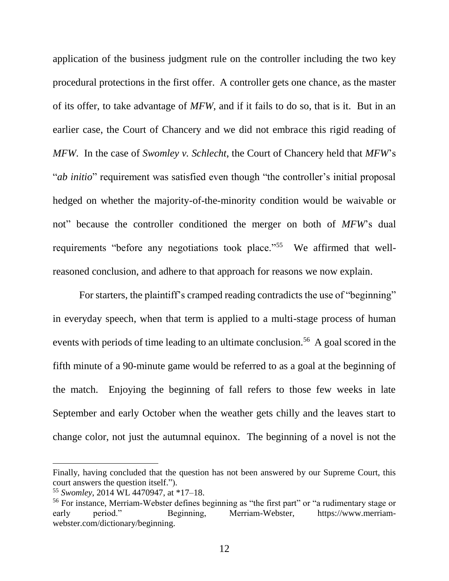application of the business judgment rule on the controller including the two key procedural protections in the first offer. A controller gets one chance, as the master of its offer, to take advantage of *MFW*, and if it fails to do so, that is it. But in an earlier case, the Court of Chancery and we did not embrace this rigid reading of *MFW*. In the case of *Swomley v. Schlecht*, the Court of Chancery held that *MFW*'s "*ab initio*" requirement was satisfied even though "the controller's initial proposal hedged on whether the majority-of-the-minority condition would be waivable or not" because the controller conditioned the merger on both of *MFW*'s dual requirements "before any negotiations took place."<sup>55</sup> We affirmed that wellreasoned conclusion, and adhere to that approach for reasons we now explain.

For starters, the plaintiff's cramped reading contradicts the use of "beginning" in everyday speech, when that term is applied to a multi-stage process of human events with periods of time leading to an ultimate conclusion.<sup>56</sup> A goal scored in the fifth minute of a 90-minute game would be referred to as a goal at the beginning of the match. Enjoying the beginning of fall refers to those few weeks in late September and early October when the weather gets chilly and the leaves start to change color, not just the autumnal equinox. The beginning of a novel is not the

Finally, having concluded that the question has not been answered by our Supreme Court, this court answers the question itself.").

<sup>55</sup> *Swomley*, 2014 WL 4470947, at \*17–18.

<sup>&</sup>lt;sup>56</sup> For instance, Merriam-Webster defines beginning as "the first part" or "a rudimentary stage or early period." Beginning, Merriam-Webster, https://www.merriamwebster.com/dictionary/beginning.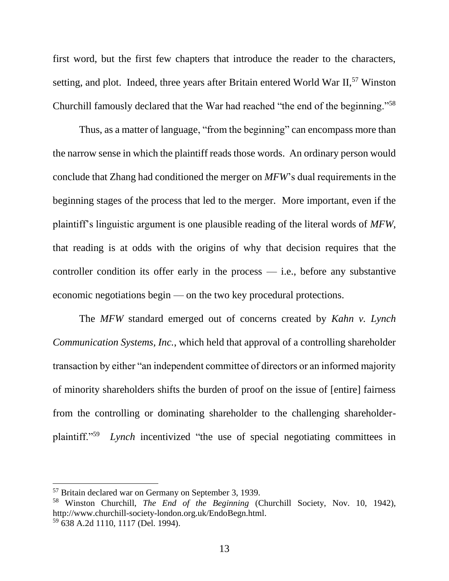first word, but the first few chapters that introduce the reader to the characters, setting, and plot. Indeed, three years after Britain entered World War II,<sup>57</sup> Winston Churchill famously declared that the War had reached "the end of the beginning."<sup>58</sup>

Thus, as a matter of language, "from the beginning" can encompass more than the narrow sense in which the plaintiff reads those words. An ordinary person would conclude that Zhang had conditioned the merger on *MFW*'s dual requirements in the beginning stages of the process that led to the merger. More important, even if the plaintiff's linguistic argument is one plausible reading of the literal words of *MFW*, that reading is at odds with the origins of why that decision requires that the controller condition its offer early in the process  $-$  i.e., before any substantive economic negotiations begin — on the two key procedural protections.

The *MFW* standard emerged out of concerns created by *Kahn v. Lynch Communication Systems, Inc.*, which held that approval of a controlling shareholder transaction by either "an independent committee of directors or an informed majority of minority shareholders shifts the burden of proof on the issue of [entire] fairness from the controlling or dominating shareholder to the challenging shareholderplaintiff."<sup>59</sup> *Lynch* incentivized "the use of special negotiating committees in

<sup>57</sup> Britain declared war on Germany on September 3, 1939.

<sup>58</sup> Winston Churchill, *The End of the Beginning* (Churchill Society, Nov. 10, 1942), http://www.churchill-society-london.org.uk/EndoBegn.html. <sup>59</sup> 638 A.2d 1110, 1117 (Del. 1994).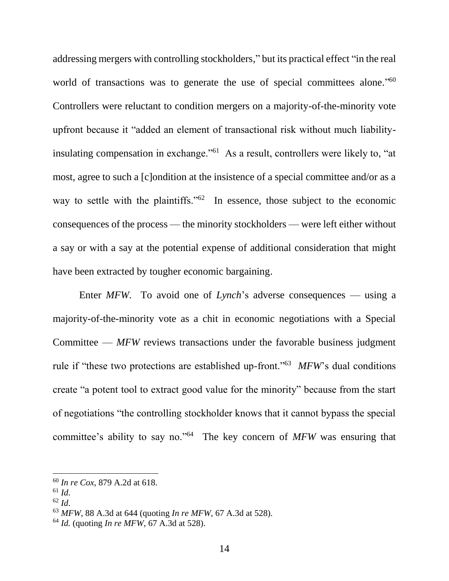addressing mergers with controlling stockholders," but its practical effect "in the real world of transactions was to generate the use of special committees alone."<sup>60</sup> Controllers were reluctant to condition mergers on a majority-of-the-minority vote upfront because it "added an element of transactional risk without much liabilityinsulating compensation in exchange."<sup>61</sup> As a result, controllers were likely to, "at most, agree to such a [c]ondition at the insistence of a special committee and/or as a way to settle with the plaintiffs."<sup>62</sup> In essence, those subject to the economic consequences of the process — the minority stockholders — were left either without a say or with a say at the potential expense of additional consideration that might have been extracted by tougher economic bargaining.

Enter *MFW*. To avoid one of *Lynch*'s adverse consequences — using a majority-of-the-minority vote as a chit in economic negotiations with a Special Committee — *MFW* reviews transactions under the favorable business judgment rule if "these two protections are established up-front."<sup>63</sup> MFW's dual conditions create "a potent tool to extract good value for the minority" because from the start of negotiations "the controlling stockholder knows that it cannot bypass the special committee's ability to say no."<sup>64</sup> The key concern of MFW was ensuring that

<sup>60</sup> *In re Cox*, 879 A.2d at 618.

 $61$  *Id.* 

<sup>62</sup> *Id*.

<sup>63</sup> *MFW*, 88 A.3d at 644 (quoting *In re MFW*, 67 A.3d at 528).

<sup>64</sup> *Id.* (quoting *In re MFW*, 67 A.3d at 528).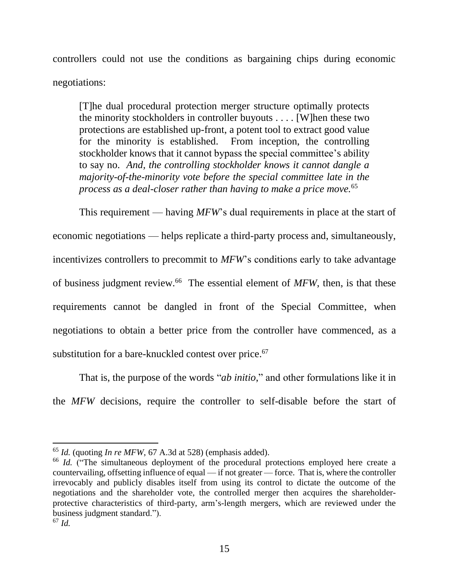controllers could not use the conditions as bargaining chips during economic negotiations:

[T]he dual procedural protection merger structure optimally protects the minority stockholders in controller buyouts . . . . [W]hen these two protections are established up-front, a potent tool to extract good value for the minority is established. From inception, the controlling stockholder knows that it cannot bypass the special committee's ability to say no. *And, the controlling stockholder knows it cannot dangle a majority-of-the-minority vote before the special committee late in the process as a deal-closer rather than having to make a price move.*<sup>65</sup>

This requirement — having *MFW*'s dual requirements in place at the start of economic negotiations — helps replicate a third-party process and, simultaneously, incentivizes controllers to precommit to *MFW*'s conditions early to take advantage of business judgment review.<sup>66</sup> The essential element of *MFW*, then, is that these requirements cannot be dangled in front of the Special Committee, when negotiations to obtain a better price from the controller have commenced, as a substitution for a bare-knuckled contest over price. 67

That is, the purpose of the words "*ab initio*," and other formulations like it in the *MFW* decisions, require the controller to self-disable before the start of

<sup>65</sup> *Id.* (quoting *In re MFW*, 67 A.3d at 528) (emphasis added).

<sup>&</sup>lt;sup>66</sup> *Id.* ("The simultaneous deployment of the procedural protections employed here create a countervailing, offsetting influence of equal — if not greater — force. That is, where the controller irrevocably and publicly disables itself from using its control to dictate the outcome of the negotiations and the shareholder vote, the controlled merger then acquires the shareholderprotective characteristics of third-party, arm's-length mergers, which are reviewed under the business judgment standard.").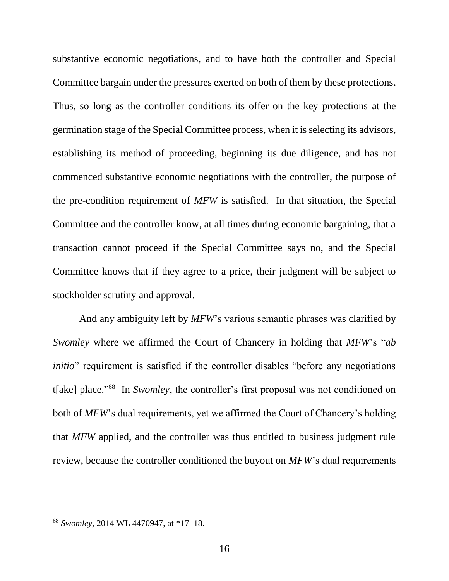substantive economic negotiations, and to have both the controller and Special Committee bargain under the pressures exerted on both of them by these protections. Thus, so long as the controller conditions its offer on the key protections at the germination stage of the Special Committee process, when it is selecting its advisors, establishing its method of proceeding, beginning its due diligence, and has not commenced substantive economic negotiations with the controller, the purpose of the pre-condition requirement of *MFW* is satisfied. In that situation, the Special Committee and the controller know, at all times during economic bargaining, that a transaction cannot proceed if the Special Committee says no, and the Special Committee knows that if they agree to a price, their judgment will be subject to stockholder scrutiny and approval.

And any ambiguity left by *MFW*'s various semantic phrases was clarified by *Swomley* where we affirmed the Court of Chancery in holding that *MFW*'s "*ab initio*" requirement is satisfied if the controller disables "before any negotiations" t[ake] place." 68 In *Swomley*, the controller's first proposal was not conditioned on both of *MFW*'s dual requirements, yet we affirmed the Court of Chancery's holding that *MFW* applied, and the controller was thus entitled to business judgment rule review, because the controller conditioned the buyout on *MFW*'s dual requirements

<sup>68</sup> *Swomley*, 2014 WL 4470947, at \*17–18.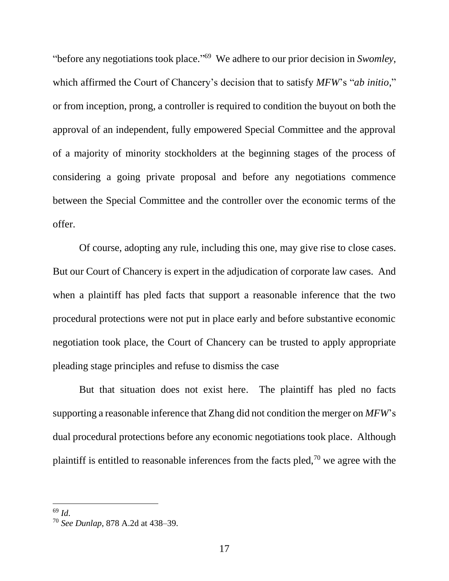"before any negotiations took place." 69 We adhere to our prior decision in *Swomley*, which affirmed the Court of Chancery's decision that to satisfy *MFW*'s "*ab initio*," or from inception, prong, a controller is required to condition the buyout on both the approval of an independent, fully empowered Special Committee and the approval of a majority of minority stockholders at the beginning stages of the process of considering a going private proposal and before any negotiations commence between the Special Committee and the controller over the economic terms of the offer.

Of course, adopting any rule, including this one, may give rise to close cases. But our Court of Chancery is expert in the adjudication of corporate law cases. And when a plaintiff has pled facts that support a reasonable inference that the two procedural protections were not put in place early and before substantive economic negotiation took place, the Court of Chancery can be trusted to apply appropriate pleading stage principles and refuse to dismiss the case

But that situation does not exist here. The plaintiff has pled no facts supporting a reasonable inference that Zhang did not condition the merger on *MFW*'s dual procedural protections before any economic negotiations took place. Although plaintiff is entitled to reasonable inferences from the facts pled,<sup>70</sup> we agree with the

<sup>69</sup> *Id*.

<sup>70</sup> *See Dunlap*, 878 A.2d at 438–39.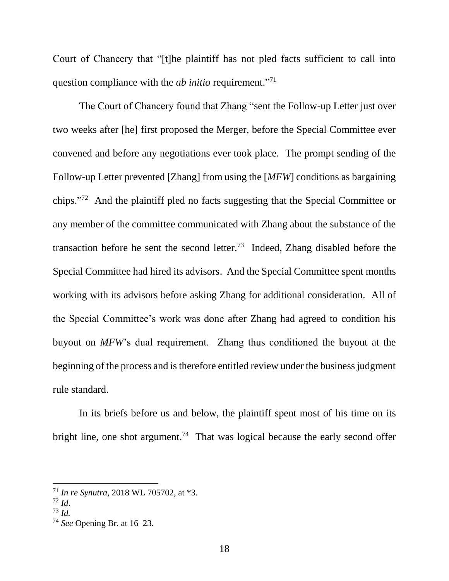Court of Chancery that "[t]he plaintiff has not pled facts sufficient to call into question compliance with the *ab initio* requirement."<sup>71</sup>

The Court of Chancery found that Zhang "sent the Follow-up Letter just over two weeks after [he] first proposed the Merger, before the Special Committee ever convened and before any negotiations ever took place. The prompt sending of the Follow-up Letter prevented [Zhang] from using the [*MFW*] conditions as bargaining chips." 72 And the plaintiff pled no facts suggesting that the Special Committee or any member of the committee communicated with Zhang about the substance of the transaction before he sent the second letter.<sup>73</sup> Indeed, Zhang disabled before the Special Committee had hired its advisors. And the Special Committee spent months working with its advisors before asking Zhang for additional consideration. All of the Special Committee's work was done after Zhang had agreed to condition his buyout on *MFW*'s dual requirement. Zhang thus conditioned the buyout at the beginning of the process and is therefore entitled review under the business judgment rule standard.

In its briefs before us and below, the plaintiff spent most of his time on its bright line, one shot argument.<sup>74</sup> That was logical because the early second offer

<sup>71</sup> *In re Synutra*, 2018 WL 705702, at \*3.

<sup>72</sup> *Id*.

<sup>73</sup> *Id.*

<sup>74</sup> *See* Opening Br. at 16–23.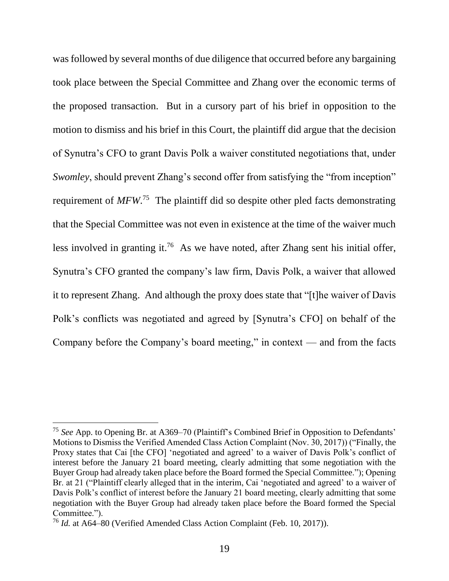was followed by several months of due diligence that occurred before any bargaining took place between the Special Committee and Zhang over the economic terms of the proposed transaction. But in a cursory part of his brief in opposition to the motion to dismiss and his brief in this Court, the plaintiff did argue that the decision of Synutra's CFO to grant Davis Polk a waiver constituted negotiations that, under *Swomley*, should prevent Zhang's second offer from satisfying the "from inception" requirement of MFW.<sup>75</sup> The plaintiff did so despite other pled facts demonstrating that the Special Committee was not even in existence at the time of the waiver much less involved in granting it.<sup>76</sup> As we have noted, after Zhang sent his initial offer, Synutra's CFO granted the company's law firm, Davis Polk, a waiver that allowed it to represent Zhang. And although the proxy does state that "[t]he waiver of Davis Polk's conflicts was negotiated and agreed by [Synutra's CFO] on behalf of the Company before the Company's board meeting," in context — and from the facts

<sup>75</sup> *See* App. to Opening Br. at A369–70 (Plaintiff's Combined Brief in Opposition to Defendants' Motions to Dismiss the Verified Amended Class Action Complaint (Nov. 30, 2017)) ("Finally, the Proxy states that Cai [the CFO] 'negotiated and agreed' to a waiver of Davis Polk's conflict of interest before the January 21 board meeting, clearly admitting that some negotiation with the Buyer Group had already taken place before the Board formed the Special Committee."); Opening Br. at 21 ("Plaintiff clearly alleged that in the interim, Cai 'negotiated and agreed' to a waiver of Davis Polk's conflict of interest before the January 21 board meeting, clearly admitting that some negotiation with the Buyer Group had already taken place before the Board formed the Special Committee.").

<sup>76</sup> *Id.* at A64–80 (Verified Amended Class Action Complaint (Feb. 10, 2017)).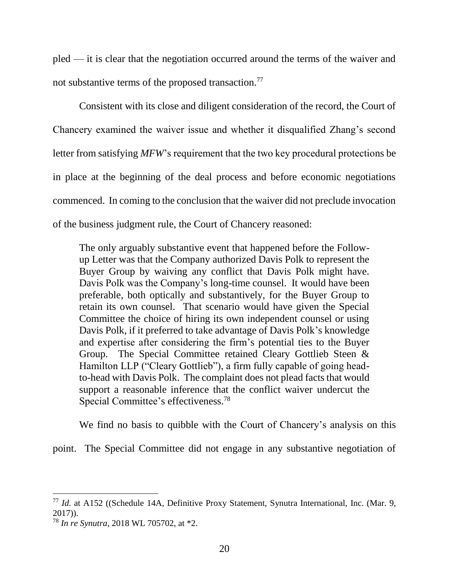pled — it is clear that the negotiation occurred around the terms of the waiver and not substantive terms of the proposed transaction.<sup>77</sup>

Consistent with its close and diligent consideration of the record, the Court of Chancery examined the waiver issue and whether it disqualified Zhang's second letter from satisfying *MFW*'s requirement that the two key procedural protections be in place at the beginning of the deal process and before economic negotiations commenced. In coming to the conclusion that the waiver did not preclude invocation of the business judgment rule, the Court of Chancery reasoned:

The only arguably substantive event that happened before the Followup Letter was that the Company authorized Davis Polk to represent the Buyer Group by waiving any conflict that Davis Polk might have. Davis Polk was the Company's long-time counsel. It would have been preferable, both optically and substantively, for the Buyer Group to retain its own counsel. That scenario would have given the Special Committee the choice of hiring its own independent counsel or using Davis Polk, if it preferred to take advantage of Davis Polk's knowledge and expertise after considering the firm's potential ties to the Buyer Group. The Special Committee retained Cleary Gottlieb Steen & Hamilton LLP ("Cleary Gottlieb"), a firm fully capable of going headto-head with Davis Polk. The complaint does not plead facts that would support a reasonable inference that the conflict waiver undercut the Special Committee's effectiveness.<sup>78</sup>

We find no basis to quibble with the Court of Chancery's analysis on this

point. The Special Committee did not engage in any substantive negotiation of

<sup>77</sup> *Id.* at A152 ((Schedule 14A, Definitive Proxy Statement, Synutra International, Inc. (Mar. 9, 2017)).

<sup>78</sup> *In re Synutra*, 2018 WL 705702, at \*2.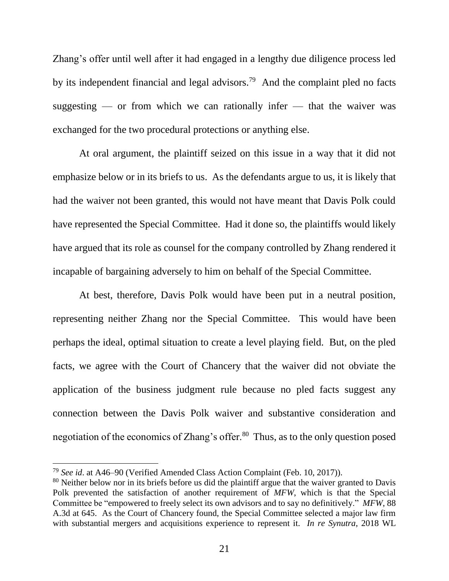Zhang's offer until well after it had engaged in a lengthy due diligence process led by its independent financial and legal advisors.<sup>79</sup> And the complaint pled no facts suggesting — or from which we can rationally infer — that the waiver was exchanged for the two procedural protections or anything else.

At oral argument, the plaintiff seized on this issue in a way that it did not emphasize below or in its briefs to us. As the defendants argue to us, it is likely that had the waiver not been granted, this would not have meant that Davis Polk could have represented the Special Committee. Had it done so, the plaintiffs would likely have argued that its role as counsel for the company controlled by Zhang rendered it incapable of bargaining adversely to him on behalf of the Special Committee.

At best, therefore, Davis Polk would have been put in a neutral position, representing neither Zhang nor the Special Committee. This would have been perhaps the ideal, optimal situation to create a level playing field. But, on the pled facts, we agree with the Court of Chancery that the waiver did not obviate the application of the business judgment rule because no pled facts suggest any connection between the Davis Polk waiver and substantive consideration and negotiation of the economics of Zhang's offer.<sup>80</sup> Thus, as to the only question posed

<sup>79</sup> *See id*. at A46–90 (Verified Amended Class Action Complaint (Feb. 10, 2017)).

<sup>&</sup>lt;sup>80</sup> Neither below nor in its briefs before us did the plaintiff argue that the waiver granted to Davis Polk prevented the satisfaction of another requirement of *MFW*, which is that the Special Committee be "empowered to freely select its own advisors and to say no definitively." *MFW*, 88 A.3d at 645. As the Court of Chancery found, the Special Committee selected a major law firm with substantial mergers and acquisitions experience to represent it. *In re Synutra*, 2018 WL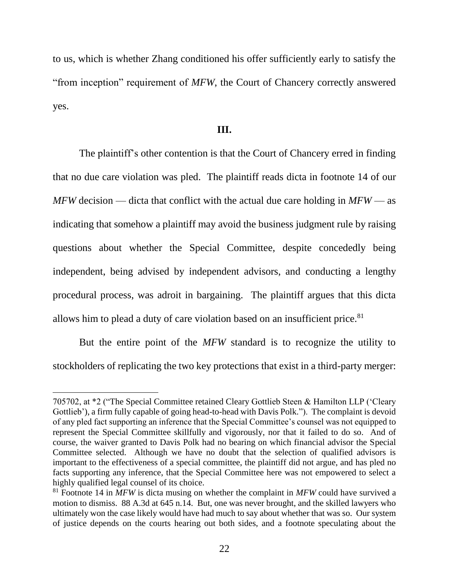to us, which is whether Zhang conditioned his offer sufficiently early to satisfy the "from inception" requirement of *MFW*, the Court of Chancery correctly answered yes.

### **III.**

The plaintiff's other contention is that the Court of Chancery erred in finding that no due care violation was pled. The plaintiff reads dicta in footnote 14 of our *MFW* decision — dicta that conflict with the actual due care holding in *MFW* — as indicating that somehow a plaintiff may avoid the business judgment rule by raising questions about whether the Special Committee, despite concededly being independent, being advised by independent advisors, and conducting a lengthy procedural process, was adroit in bargaining. The plaintiff argues that this dicta allows him to plead a duty of care violation based on an insufficient price.<sup>81</sup>

But the entire point of the *MFW* standard is to recognize the utility to stockholders of replicating the two key protections that exist in a third-party merger:

<sup>705702,</sup> at \*2 ("The Special Committee retained Cleary Gottlieb Steen & Hamilton LLP ('Cleary Gottlieb'), a firm fully capable of going head-to-head with Davis Polk."). The complaint is devoid of any pled fact supporting an inference that the Special Committee's counsel was not equipped to represent the Special Committee skillfully and vigorously, nor that it failed to do so. And of course, the waiver granted to Davis Polk had no bearing on which financial advisor the Special Committee selected. Although we have no doubt that the selection of qualified advisors is important to the effectiveness of a special committee, the plaintiff did not argue, and has pled no facts supporting any inference, that the Special Committee here was not empowered to select a highly qualified legal counsel of its choice.

<sup>81</sup> Footnote 14 in *MFW* is dicta musing on whether the complaint in *MFW* could have survived a motion to dismiss. 88 A.3d at 645 n.14. But, one was never brought, and the skilled lawyers who ultimately won the case likely would have had much to say about whether that was so. Our system of justice depends on the courts hearing out both sides, and a footnote speculating about the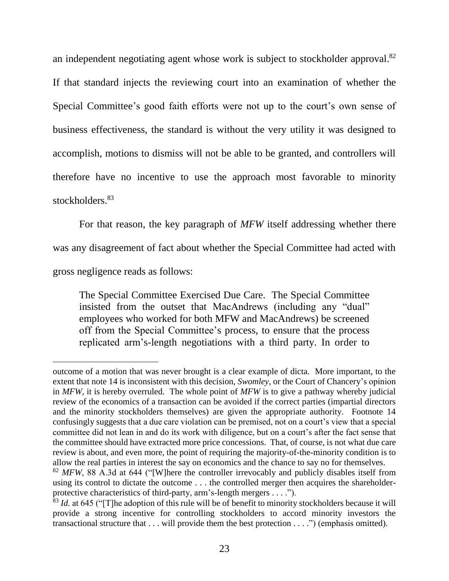an independent negotiating agent whose work is subject to stockholder approval.<sup>82</sup>

If that standard injects the reviewing court into an examination of whether the Special Committee's good faith efforts were not up to the court's own sense of business effectiveness, the standard is without the very utility it was designed to accomplish, motions to dismiss will not be able to be granted, and controllers will therefore have no incentive to use the approach most favorable to minority stockholders.<sup>83</sup>

For that reason, the key paragraph of *MFW* itself addressing whether there was any disagreement of fact about whether the Special Committee had acted with gross negligence reads as follows:

The Special Committee Exercised Due Care. The Special Committee insisted from the outset that MacAndrews (including any "dual" employees who worked for both MFW and MacAndrews) be screened off from the Special Committee's process, to ensure that the process replicated arm's-length negotiations with a third party. In order to

outcome of a motion that was never brought is a clear example of dicta. More important, to the extent that note 14 is inconsistent with this decision, *Swomley*, or the Court of Chancery's opinion in *MFW*, it is hereby overruled. The whole point of *MFW* is to give a pathway whereby judicial review of the economics of a transaction can be avoided if the correct parties (impartial directors and the minority stockholders themselves) are given the appropriate authority. Footnote 14 confusingly suggests that a due care violation can be premised, not on a court's view that a special committee did not lean in and do its work with diligence, but on a court's after the fact sense that the committee should have extracted more price concessions. That, of course, is not what due care review is about, and even more, the point of requiring the majority-of-the-minority condition is to allow the real parties in interest the say on economics and the chance to say no for themselves.

<sup>&</sup>lt;sup>82</sup> MFW, 88 A.3d at 644 ("[W]here the controller irrevocably and publicly disables itself from using its control to dictate the outcome . . . the controlled merger then acquires the shareholderprotective characteristics of third-party, arm's-length mergers . . . .").

<sup>&</sup>lt;sup>83</sup> *Id.* at 645 ("[T]he adoption of this rule will be of benefit to minority stockholders because it will provide a strong incentive for controlling stockholders to accord minority investors the transactional structure that . . . will provide them the best protection . . . .") (emphasis omitted).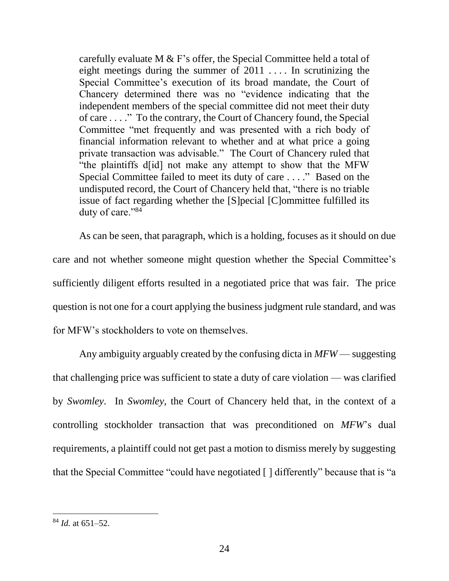carefully evaluate M  $&$  F's offer, the Special Committee held a total of eight meetings during the summer of  $2011$ .... In scrutinizing the Special Committee's execution of its broad mandate, the Court of Chancery determined there was no "evidence indicating that the independent members of the special committee did not meet their duty of care . . . ." To the contrary, the Court of Chancery found, the Special Committee "met frequently and was presented with a rich body of financial information relevant to whether and at what price a going private transaction was advisable." The Court of Chancery ruled that "the plaintiffs d[id] not make any attempt to show that the MFW Special Committee failed to meet its duty of care . . . ." Based on the undisputed record, the Court of Chancery held that, "there is no triable issue of fact regarding whether the [S]pecial [C]ommittee fulfilled its duty of care."84

As can be seen, that paragraph, which is a holding, focuses as it should on due care and not whether someone might question whether the Special Committee's sufficiently diligent efforts resulted in a negotiated price that was fair. The price question is not one for a court applying the business judgment rule standard, and was for MFW's stockholders to vote on themselves.

Any ambiguity arguably created by the confusing dicta in *MFW* — suggesting that challenging price was sufficient to state a duty of care violation — was clarified by *Swomley*. In *Swomley*, the Court of Chancery held that, in the context of a controlling stockholder transaction that was preconditioned on *MFW*'s dual requirements, a plaintiff could not get past a motion to dismiss merely by suggesting that the Special Committee "could have negotiated [ ] differently" because that is "a

<sup>84</sup> *Id.* at 651–52.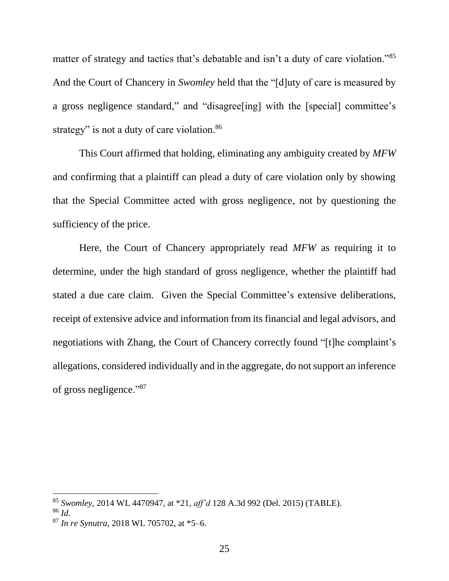matter of strategy and tactics that's debatable and isn't a duty of care violation."<sup>85</sup> And the Court of Chancery in *Swomley* held that the "[d]uty of care is measured by a gross negligence standard," and "disagree[ing] with the [special] committee's strategy" is not a duty of care violation.<sup>86</sup>

This Court affirmed that holding, eliminating any ambiguity created by *MFW* and confirming that a plaintiff can plead a duty of care violation only by showing that the Special Committee acted with gross negligence, not by questioning the sufficiency of the price.

Here, the Court of Chancery appropriately read *MFW* as requiring it to determine, under the high standard of gross negligence, whether the plaintiff had stated a due care claim. Given the Special Committee's extensive deliberations, receipt of extensive advice and information from its financial and legal advisors, and negotiations with Zhang, the Court of Chancery correctly found "[t]he complaint's allegations, considered individually and in the aggregate, do not support an inference of gross negligence."<sup>87</sup>

<sup>85</sup> *Swomley*, 2014 WL 4470947, at \*21, *aff'd* 128 A.3d 992 (Del. 2015) (TABLE).

<sup>86</sup> *Id.*

<sup>87</sup> *In re Synutra*, 2018 WL 705702, at \*5–6.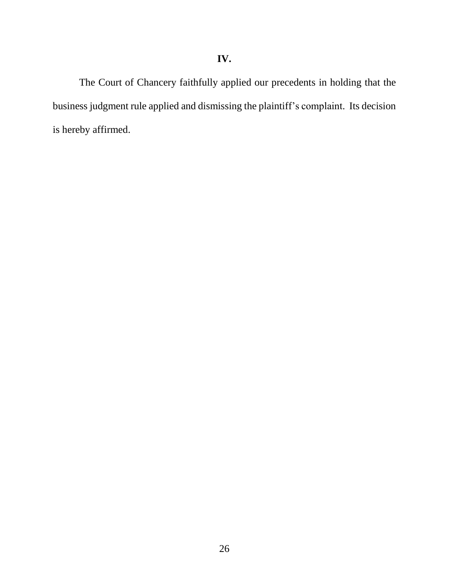The Court of Chancery faithfully applied our precedents in holding that the business judgment rule applied and dismissing the plaintiff's complaint. Its decision is hereby affirmed.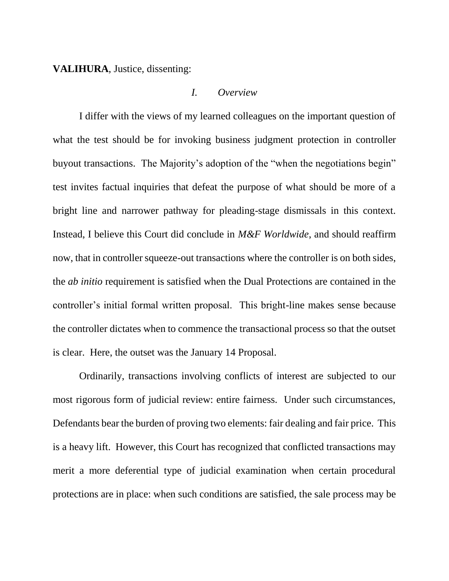**VALIHURA**, Justice, dissenting:

#### *I. Overview*

I differ with the views of my learned colleagues on the important question of what the test should be for invoking business judgment protection in controller buyout transactions. The Majority's adoption of the "when the negotiations begin" test invites factual inquiries that defeat the purpose of what should be more of a bright line and narrower pathway for pleading-stage dismissals in this context. Instead, I believe this Court did conclude in *M&F Worldwide*, and should reaffirm now, that in controller squeeze-out transactions where the controller is on both sides, the *ab initio* requirement is satisfied when the Dual Protections are contained in the controller's initial formal written proposal. This bright-line makes sense because the controller dictates when to commence the transactional process so that the outset is clear. Here, the outset was the January 14 Proposal.

Ordinarily, transactions involving conflicts of interest are subjected to our most rigorous form of judicial review: entire fairness. Under such circumstances, Defendants bear the burden of proving two elements: fair dealing and fair price. This is a heavy lift. However, this Court has recognized that conflicted transactions may merit a more deferential type of judicial examination when certain procedural protections are in place: when such conditions are satisfied, the sale process may be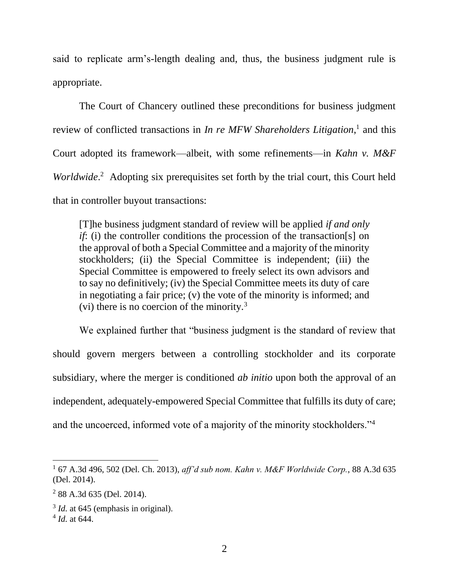said to replicate arm's-length dealing and, thus, the business judgment rule is appropriate.

The Court of Chancery outlined these preconditions for business judgment review of conflicted transactions in *In re MFW Shareholders Litigation*, 1 and this Court adopted its framework—albeit, with some refinements—in *Kahn v. M&F*  Worldwide.<sup>2</sup> Adopting six prerequisites set forth by the trial court, this Court held that in controller buyout transactions:

[T]he business judgment standard of review will be applied *if and only if*: (i) the controller conditions the procession of the transaction[s] on the approval of both a Special Committee and a majority of the minority stockholders; (ii) the Special Committee is independent; (iii) the Special Committee is empowered to freely select its own advisors and to say no definitively; (iv) the Special Committee meets its duty of care in negotiating a fair price; (v) the vote of the minority is informed; and (vi) there is no coercion of the minority.<sup>3</sup>

We explained further that "business judgment is the standard of review that should govern mergers between a controlling stockholder and its corporate subsidiary, where the merger is conditioned *ab initio* upon both the approval of an independent, adequately-empowered Special Committee that fulfills its duty of care; and the uncoerced, informed vote of a majority of the minority stockholders."<sup>4</sup>

<sup>1</sup> 67 A.3d 496, 502 (Del. Ch. 2013), *aff'd sub nom. Kahn v. M&F Worldwide Corp.*, 88 A.3d 635 (Del. 2014).

<sup>&</sup>lt;sup>2</sup> 88 A.3d 635 (Del. 2014).

<sup>&</sup>lt;sup>3</sup> *Id.* at 645 (emphasis in original).

<sup>4</sup> *Id.* at 644.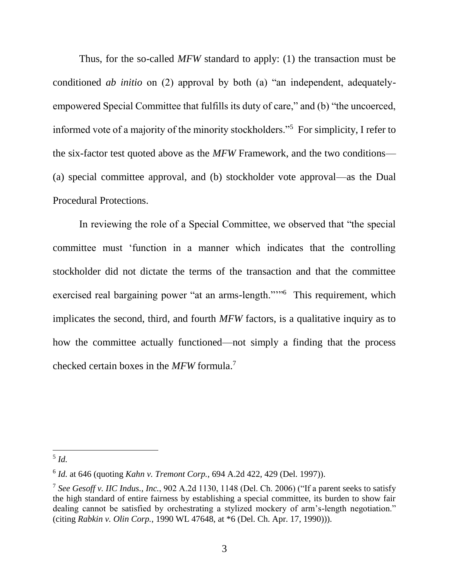Thus, for the so-called *MFW* standard to apply: (1) the transaction must be conditioned *ab initio* on (2) approval by both (a) "an independent, adequatelyempowered Special Committee that fulfills its duty of care," and (b) "the uncoerced, informed vote of a majority of the minority stockholders."<sup>5</sup> For simplicity, I refer to the six-factor test quoted above as the *MFW* Framework, and the two conditions— (a) special committee approval, and (b) stockholder vote approval—as the Dual Procedural Protections.

In reviewing the role of a Special Committee, we observed that "the special committee must 'function in a manner which indicates that the controlling stockholder did not dictate the terms of the transaction and that the committee exercised real bargaining power "at an arms-length.""<sup>6</sup> This requirement, which implicates the second, third, and fourth *MFW* factors, is a qualitative inquiry as to how the committee actually functioned—not simply a finding that the process checked certain boxes in the *MFW* formula.<sup>7</sup>

<sup>5</sup> *Id.*

<sup>6</sup> *Id.* at 646 (quoting *Kahn v. Tremont Corp.*, 694 A.2d 422, 429 (Del. 1997)).

<sup>7</sup> *See Gesoff v. IIC Indus., Inc.*, 902 A.2d 1130, 1148 (Del. Ch. 2006) ("If a parent seeks to satisfy the high standard of entire fairness by establishing a special committee, its burden to show fair dealing cannot be satisfied by orchestrating a stylized mockery of arm's-length negotiation." (citing *Rabkin v. Olin Corp.*, 1990 WL 47648, at \*6 (Del. Ch. Apr. 17, 1990))).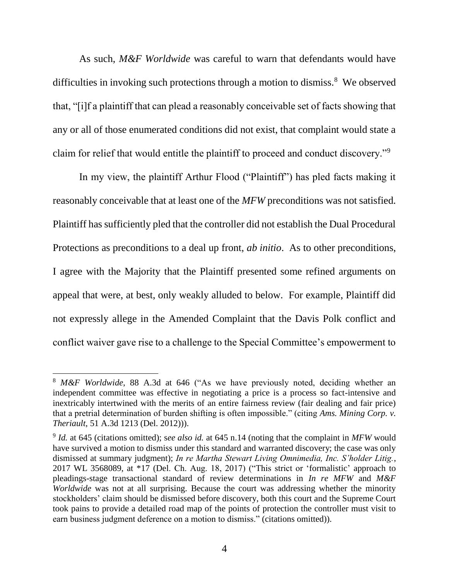As such, *M&F Worldwide* was careful to warn that defendants would have difficulties in invoking such protections through a motion to dismiss.<sup>8</sup> We observed that, "[i]f a plaintiff that can plead a reasonably conceivable set of facts showing that any or all of those enumerated conditions did not exist, that complaint would state a claim for relief that would entitle the plaintiff to proceed and conduct discovery."<sup>9</sup>

In my view, the plaintiff Arthur Flood ("Plaintiff") has pled facts making it reasonably conceivable that at least one of the *MFW* preconditions was not satisfied. Plaintiff has sufficiently pled that the controller did not establish the Dual Procedural Protections as preconditions to a deal up front, *ab initio*. As to other preconditions, I agree with the Majority that the Plaintiff presented some refined arguments on appeal that were, at best, only weakly alluded to below. For example, Plaintiff did not expressly allege in the Amended Complaint that the Davis Polk conflict and conflict waiver gave rise to a challenge to the Special Committee's empowerment to

<sup>8</sup> *M&F Worldwide*, 88 A.3d at 646 ("As we have previously noted, deciding whether an independent committee was effective in negotiating a price is a process so fact-intensive and inextricably intertwined with the merits of an entire fairness review (fair dealing and fair price) that a pretrial determination of burden shifting is often impossible." (citing *Ams. Mining Corp. v. Theriault*, 51 A.3d 1213 (Del. 2012))).

<sup>9</sup> *Id.* at 645 (citations omitted); s*ee also id.* at 645 n.14 (noting that the complaint in *MFW* would have survived a motion to dismiss under this standard and warranted discovery; the case was only dismissed at summary judgment); *In re Martha Stewart Living Omnimedia, Inc. S'holder Litig.*, 2017 WL 3568089, at \*17 (Del. Ch. Aug. 18, 2017) ("This strict or 'formalistic' approach to pleadings-stage transactional standard of review determinations in *In re MFW* and *M&F Worldwide* was not at all surprising. Because the court was addressing whether the minority stockholders' claim should be dismissed before discovery, both this court and the Supreme Court took pains to provide a detailed road map of the points of protection the controller must visit to earn business judgment deference on a motion to dismiss." (citations omitted)).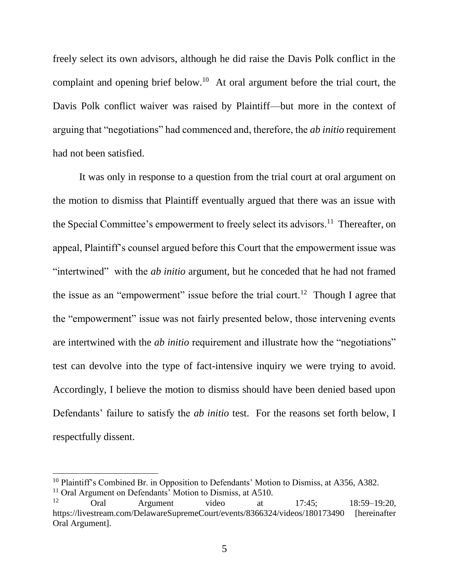freely select its own advisors, although he did raise the Davis Polk conflict in the complaint and opening brief below.<sup>10</sup> At oral argument before the trial court, the Davis Polk conflict waiver was raised by Plaintiff—but more in the context of arguing that "negotiations" had commenced and, therefore, the *ab initio* requirement had not been satisfied.

It was only in response to a question from the trial court at oral argument on the motion to dismiss that Plaintiff eventually argued that there was an issue with the Special Committee's empowerment to freely select its advisors.<sup>11</sup> Thereafter, on appeal, Plaintiff's counsel argued before this Court that the empowerment issue was "intertwined" with the *ab initio* argument, but he conceded that he had not framed the issue as an "empowerment" issue before the trial court.<sup>12</sup> Though I agree that the "empowerment" issue was not fairly presented below, those intervening events are intertwined with the *ab initio* requirement and illustrate how the "negotiations" test can devolve into the type of fact-intensive inquiry we were trying to avoid. Accordingly, I believe the motion to dismiss should have been denied based upon Defendants' failure to satisfy the *ab initio* test. For the reasons set forth below, I respectfully dissent.

<sup>&</sup>lt;sup>10</sup> Plaintiff's Combined Br. in Opposition to Defendants' Motion to Dismiss, at A356, A382.

<sup>&</sup>lt;sup>11</sup> Oral Argument on Defendants' Motion to Dismiss, at A510.<br><sup>12</sup> Oral Argument video Oral Argument video at 17:45; 18:59–19:20, https://livestream.com/DelawareSupremeCourt/events/8366324/videos/180173490 [hereinafter Oral Argument].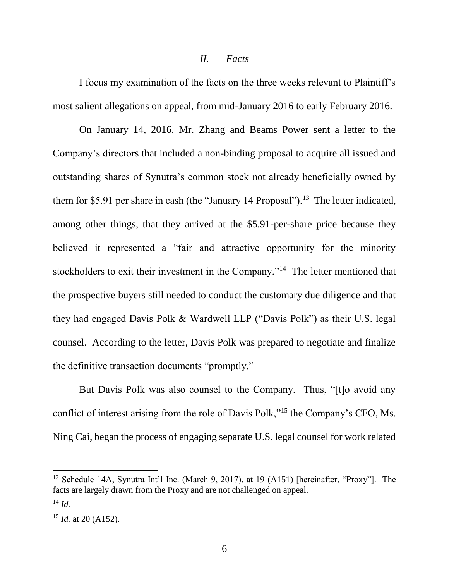#### *II. Facts*

I focus my examination of the facts on the three weeks relevant to Plaintiff's most salient allegations on appeal, from mid-January 2016 to early February 2016.

On January 14, 2016, Mr. Zhang and Beams Power sent a letter to the Company's directors that included a non-binding proposal to acquire all issued and outstanding shares of Synutra's common stock not already beneficially owned by them for \$5.91 per share in cash (the "January 14 Proposal").<sup>13</sup> The letter indicated, among other things, that they arrived at the \$5.91-per-share price because they believed it represented a "fair and attractive opportunity for the minority stockholders to exit their investment in the Company."<sup>14</sup> The letter mentioned that the prospective buyers still needed to conduct the customary due diligence and that they had engaged Davis Polk & Wardwell LLP ("Davis Polk") as their U.S. legal counsel. According to the letter, Davis Polk was prepared to negotiate and finalize the definitive transaction documents "promptly."

But Davis Polk was also counsel to the Company. Thus, "[t]o avoid any conflict of interest arising from the role of Davis Polk,"<sup>15</sup> the Company's CFO, Ms. Ning Cai, began the process of engaging separate U.S. legal counsel for work related

<sup>&</sup>lt;sup>13</sup> Schedule 14A, Synutra Int'l Inc. (March 9, 2017), at 19 (A151) [hereinafter, "Proxy"]. The facts are largely drawn from the Proxy and are not challenged on appeal.

<sup>14</sup> *Id.*

 $15$  *Id.* at 20 (A152).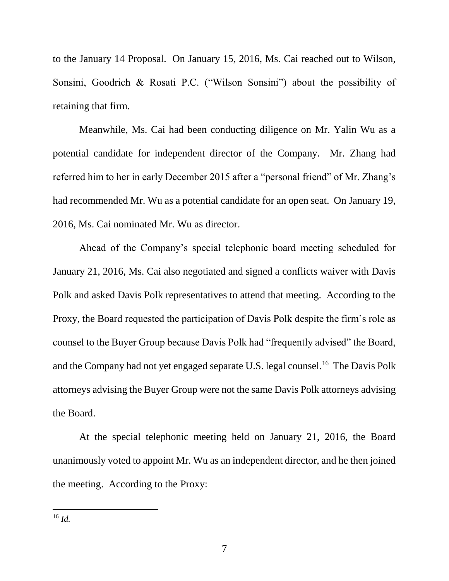to the January 14 Proposal. On January 15, 2016, Ms. Cai reached out to Wilson, Sonsini, Goodrich & Rosati P.C. ("Wilson Sonsini") about the possibility of retaining that firm.

Meanwhile, Ms. Cai had been conducting diligence on Mr. Yalin Wu as a potential candidate for independent director of the Company. Mr. Zhang had referred him to her in early December 2015 after a "personal friend" of Mr. Zhang's had recommended Mr. Wu as a potential candidate for an open seat. On January 19, 2016, Ms. Cai nominated Mr. Wu as director.

Ahead of the Company's special telephonic board meeting scheduled for January 21, 2016, Ms. Cai also negotiated and signed a conflicts waiver with Davis Polk and asked Davis Polk representatives to attend that meeting. According to the Proxy, the Board requested the participation of Davis Polk despite the firm's role as counsel to the Buyer Group because Davis Polk had "frequently advised" the Board, and the Company had not yet engaged separate U.S. legal counsel.<sup>16</sup> The Davis Polk attorneys advising the Buyer Group were not the same Davis Polk attorneys advising the Board.

At the special telephonic meeting held on January 21, 2016, the Board unanimously voted to appoint Mr. Wu as an independent director, and he then joined the meeting. According to the Proxy: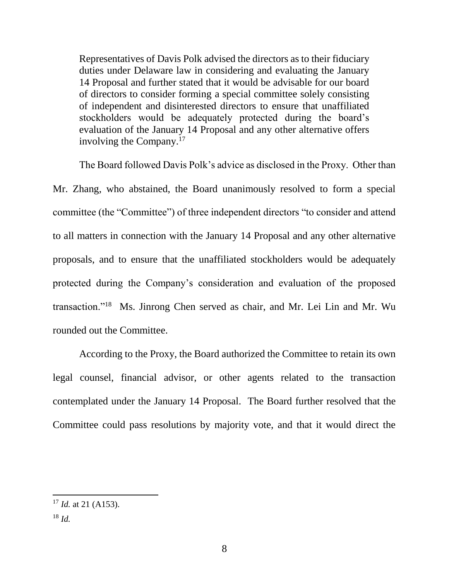Representatives of Davis Polk advised the directors as to their fiduciary duties under Delaware law in considering and evaluating the January 14 Proposal and further stated that it would be advisable for our board of directors to consider forming a special committee solely consisting of independent and disinterested directors to ensure that unaffiliated stockholders would be adequately protected during the board's evaluation of the January 14 Proposal and any other alternative offers involving the Company.<sup>17</sup>

The Board followed Davis Polk's advice as disclosed in the Proxy. Other than Mr. Zhang, who abstained, the Board unanimously resolved to form a special committee (the "Committee") of three independent directors "to consider and attend to all matters in connection with the January 14 Proposal and any other alternative proposals, and to ensure that the unaffiliated stockholders would be adequately protected during the Company's consideration and evaluation of the proposed transaction."<sup>18</sup> Ms. Jinrong Chen served as chair, and Mr. Lei Lin and Mr. Wu rounded out the Committee.

According to the Proxy, the Board authorized the Committee to retain its own legal counsel, financial advisor, or other agents related to the transaction contemplated under the January 14 Proposal. The Board further resolved that the Committee could pass resolutions by majority vote, and that it would direct the

<sup>17</sup> *Id.* at 21 (A153).

<sup>18</sup> *Id.*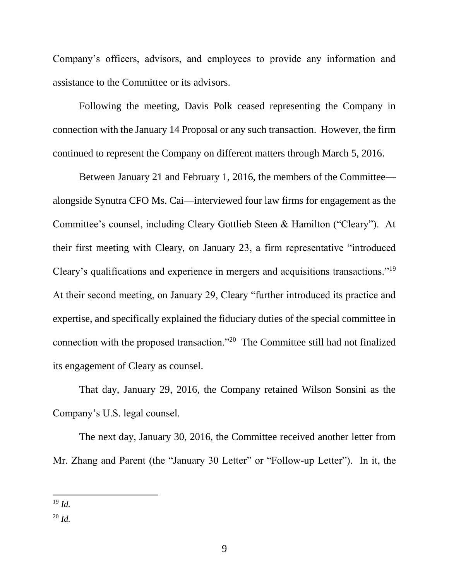Company's officers, advisors, and employees to provide any information and assistance to the Committee or its advisors.

Following the meeting, Davis Polk ceased representing the Company in connection with the January 14 Proposal or any such transaction. However, the firm continued to represent the Company on different matters through March 5, 2016.

Between January 21 and February 1, 2016, the members of the Committee alongside Synutra CFO Ms. Cai—interviewed four law firms for engagement as the Committee's counsel, including Cleary Gottlieb Steen & Hamilton ("Cleary"). At their first meeting with Cleary, on January 23, a firm representative "introduced Cleary's qualifications and experience in mergers and acquisitions transactions."<sup>19</sup> At their second meeting, on January 29, Cleary "further introduced its practice and expertise, and specifically explained the fiduciary duties of the special committee in connection with the proposed transaction."<sup>20</sup> The Committee still had not finalized its engagement of Cleary as counsel.

That day, January 29, 2016, the Company retained Wilson Sonsini as the Company's U.S. legal counsel.

The next day, January 30, 2016, the Committee received another letter from Mr. Zhang and Parent (the "January 30 Letter" or "Follow-up Letter"). In it, the

<sup>19</sup> *Id.*

<sup>20</sup> *Id.*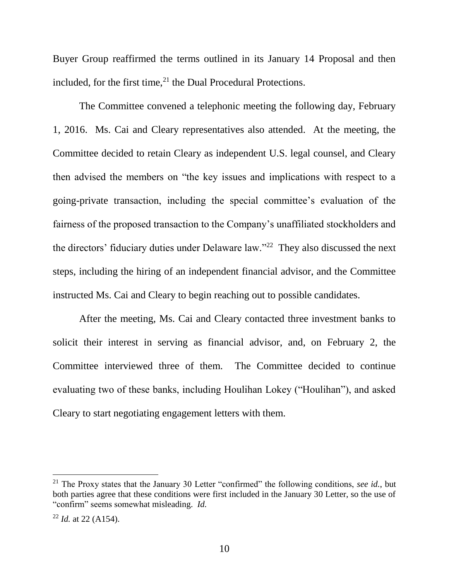Buyer Group reaffirmed the terms outlined in its January 14 Proposal and then included, for the first time, $^{21}$  the Dual Procedural Protections.

The Committee convened a telephonic meeting the following day, February 1, 2016. Ms. Cai and Cleary representatives also attended. At the meeting, the Committee decided to retain Cleary as independent U.S. legal counsel, and Cleary then advised the members on "the key issues and implications with respect to a going-private transaction, including the special committee's evaluation of the fairness of the proposed transaction to the Company's unaffiliated stockholders and the directors' fiduciary duties under Delaware law."<sup>22</sup> They also discussed the next steps, including the hiring of an independent financial advisor, and the Committee instructed Ms. Cai and Cleary to begin reaching out to possible candidates.

After the meeting, Ms. Cai and Cleary contacted three investment banks to solicit their interest in serving as financial advisor, and, on February 2, the Committee interviewed three of them. The Committee decided to continue evaluating two of these banks, including Houlihan Lokey ("Houlihan"), and asked Cleary to start negotiating engagement letters with them.

<sup>21</sup> The Proxy states that the January 30 Letter "confirmed" the following conditions, *see id.*, but both parties agree that these conditions were first included in the January 30 Letter, so the use of "confirm" seems somewhat misleading. *Id.*

<sup>22</sup> *Id.* at 22 (A154).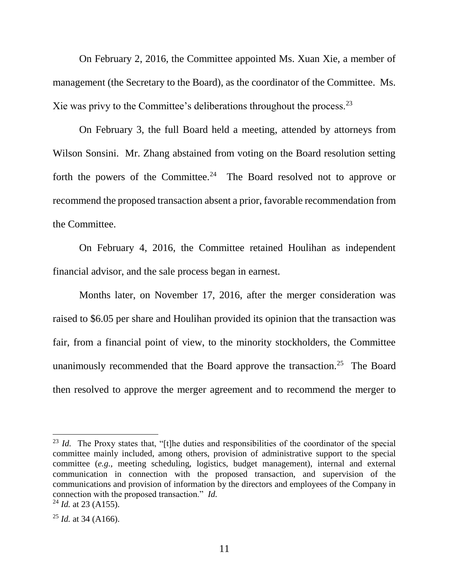On February 2, 2016, the Committee appointed Ms. Xuan Xie, a member of management (the Secretary to the Board), as the coordinator of the Committee. Ms. Xie was privy to the Committee's deliberations throughout the process.<sup>23</sup>

On February 3, the full Board held a meeting, attended by attorneys from Wilson Sonsini. Mr. Zhang abstained from voting on the Board resolution setting forth the powers of the Committee.<sup>24</sup> The Board resolved not to approve or recommend the proposed transaction absent a prior, favorable recommendation from the Committee.

On February 4, 2016, the Committee retained Houlihan as independent financial advisor, and the sale process began in earnest.

Months later, on November 17, 2016, after the merger consideration was raised to \$6.05 per share and Houlihan provided its opinion that the transaction was fair, from a financial point of view, to the minority stockholders, the Committee unanimously recommended that the Board approve the transaction.<sup>25</sup> The Board then resolved to approve the merger agreement and to recommend the merger to

<sup>&</sup>lt;sup>23</sup> *Id.* The Proxy states that, "[t]he duties and responsibilities of the coordinator of the special committee mainly included, among others, provision of administrative support to the special committee (*e.g.*, meeting scheduling, logistics, budget management), internal and external communication in connection with the proposed transaction, and supervision of the communications and provision of information by the directors and employees of the Company in connection with the proposed transaction." *Id.*

<sup>24</sup> *Id.* at 23 (A155).

<sup>25</sup> *Id.* at 34 (A166).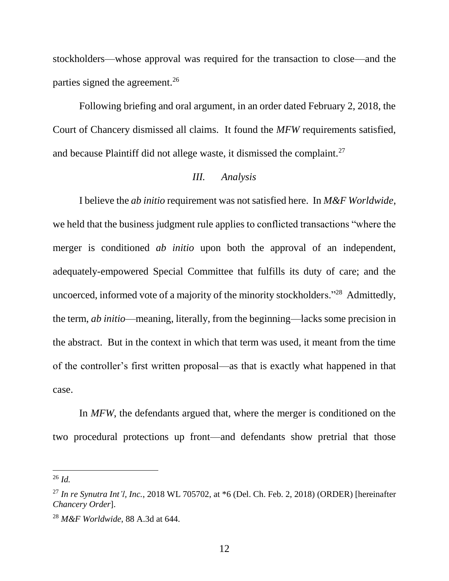stockholders—whose approval was required for the transaction to close—and the parties signed the agreement.<sup>26</sup>

Following briefing and oral argument, in an order dated February 2, 2018, the Court of Chancery dismissed all claims. It found the *MFW* requirements satisfied, and because Plaintiff did not allege waste, it dismissed the complaint.<sup>27</sup>

## *III. Analysis*

I believe the *ab initio* requirement was not satisfied here. In *M&F Worldwide*, we held that the business judgment rule applies to conflicted transactions "where the merger is conditioned *ab initio* upon both the approval of an independent, adequately-empowered Special Committee that fulfills its duty of care; and the uncoerced, informed vote of a majority of the minority stockholders."<sup>28</sup> Admittedly, the term, *ab initio*—meaning, literally, from the beginning—lacks some precision in the abstract. But in the context in which that term was used, it meant from the time of the controller's first written proposal—as that is exactly what happened in that case.

In *MFW*, the defendants argued that, where the merger is conditioned on the two procedural protections up front—and defendants show pretrial that those

<sup>26</sup> *Id.*

<sup>&</sup>lt;sup>27</sup> *In re Synutra Int'l, Inc.,* 2018 WL 705702, at  $*6$  (Del. Ch. Feb. 2, 2018) (ORDER) [hereinafter *Chancery Order*].

<sup>28</sup> *M&F Worldwide*, 88 A.3d at 644.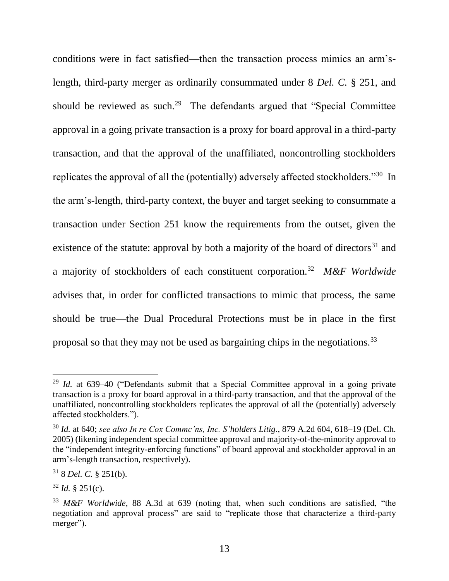conditions were in fact satisfied—then the transaction process mimics an arm'slength, third-party merger as ordinarily consummated under 8 *Del. C.* § 251, and should be reviewed as such.<sup>29</sup> The defendants argued that "Special Committee" approval in a going private transaction is a proxy for board approval in a third-party transaction, and that the approval of the unaffiliated, noncontrolling stockholders replicates the approval of all the (potentially) adversely affected stockholders."<sup>30</sup> In the arm's-length, third-party context, the buyer and target seeking to consummate a transaction under Section 251 know the requirements from the outset, given the existence of the statute: approval by both a majority of the board of directors<sup>31</sup> and a majority of stockholders of each constituent corporation.<sup>32</sup> *M&F Worldwide* advises that, in order for conflicted transactions to mimic that process, the same should be true—the Dual Procedural Protections must be in place in the first proposal so that they may not be used as bargaining chips in the negotiations.<sup>33</sup>

<sup>29</sup> *Id.* at 639–40 ("Defendants submit that a Special Committee approval in a going private transaction is a proxy for board approval in a third-party transaction, and that the approval of the unaffiliated, noncontrolling stockholders replicates the approval of all the (potentially) adversely affected stockholders.").

<sup>30</sup> *Id.* at 640; *see also In re Cox Commc'ns, Inc. S'holders Litig*., 879 A.2d 604, 618–19 (Del. Ch. 2005) (likening independent special committee approval and majority-of-the-minority approval to the "independent integrity-enforcing functions" of board approval and stockholder approval in an arm's-length transaction, respectively).

<sup>31</sup> 8 *Del. C.* § 251(b).

 $32$  *Id.* § 251(c).

<sup>33</sup> *M&F Worldwide*, 88 A.3d at 639 (noting that, when such conditions are satisfied, "the negotiation and approval process" are said to "replicate those that characterize a third-party merger").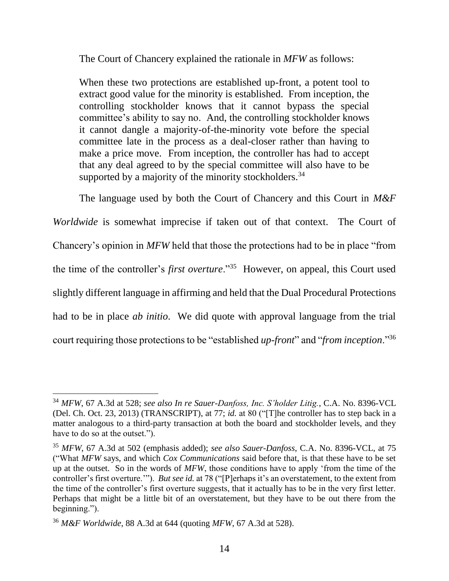The Court of Chancery explained the rationale in *MFW* as follows:

When these two protections are established up-front, a potent tool to extract good value for the minority is established. From inception, the controlling stockholder knows that it cannot bypass the special committee's ability to say no. And, the controlling stockholder knows it cannot dangle a majority-of-the-minority vote before the special committee late in the process as a deal-closer rather than having to make a price move. From inception, the controller has had to accept that any deal agreed to by the special committee will also have to be supported by a majority of the minority stockholders.<sup>34</sup>

The language used by both the Court of Chancery and this Court in *M&F* 

*Worldwide* is somewhat imprecise if taken out of that context. The Court of Chancery's opinion in *MFW* held that those the protections had to be in place "from the time of the controller's *first overture*."<sup>35</sup> However, on appeal, this Court used slightly different language in affirming and held that the Dual Procedural Protections had to be in place *ab initio*. We did quote with approval language from the trial court requiring those protections to be "established *up-front*" and "*from inception*."<sup>36</sup>

<sup>34</sup> *MFW*, 67 A.3d at 528; *see also In re Sauer-Danfoss, Inc. S'holder Litig.*, C.A. No. 8396-VCL (Del. Ch. Oct. 23, 2013) (TRANSCRIPT), at 77; *id.* at 80 ("[T]he controller has to step back in a matter analogous to a third-party transaction at both the board and stockholder levels, and they have to do so at the outset.").

<sup>35</sup> *MFW*, 67 A.3d at 502 (emphasis added); *see also Sauer-Danfoss*, C.A. No. 8396-VCL, at 75 ("What *MFW* says, and which *Cox Communications* said before that, is that these have to be set up at the outset. So in the words of *MFW*, those conditions have to apply 'from the time of the controller's first overture.'"). *But see id.* at 78 ("[P]erhaps it's an overstatement, to the extent from the time of the controller's first overture suggests, that it actually has to be in the very first letter. Perhaps that might be a little bit of an overstatement, but they have to be out there from the beginning.").

<sup>36</sup> *M&F Worldwide*, 88 A.3d at 644 (quoting *MFW*, 67 A.3d at 528).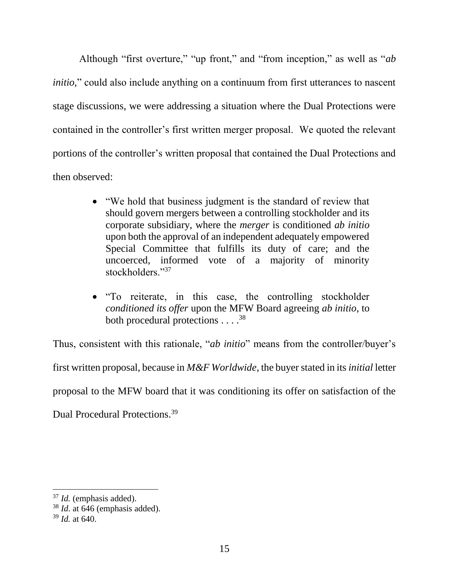Although "first overture," "up front," and "from inception," as well as "*ab initio*," could also include anything on a continuum from first utterances to nascent stage discussions, we were addressing a situation where the Dual Protections were contained in the controller's first written merger proposal. We quoted the relevant portions of the controller's written proposal that contained the Dual Protections and then observed:

- "We hold that business judgment is the standard of review that should govern mergers between a controlling stockholder and its corporate subsidiary, where the *merger* is conditioned *ab initio* upon both the approval of an independent adequately empowered Special Committee that fulfills its duty of care; and the uncoerced, informed vote of a majority of minority stockholders."37
- "To reiterate, in this case, the controlling stockholder *conditioned its offer* upon the MFW Board agreeing *ab initio*, to both procedural protections . . . .<sup>38</sup>

Thus, consistent with this rationale, "*ab initio*" means from the controller/buyer's first written proposal, because in *M&F Worldwide*, the buyer stated in its *initial* letter proposal to the MFW board that it was conditioning its offer on satisfaction of the Dual Procedural Protections.<sup>39</sup>

<sup>37</sup> *Id.* (emphasis added).

<sup>38</sup> *Id*. at 646 (emphasis added).

<sup>39</sup> *Id.* at 640.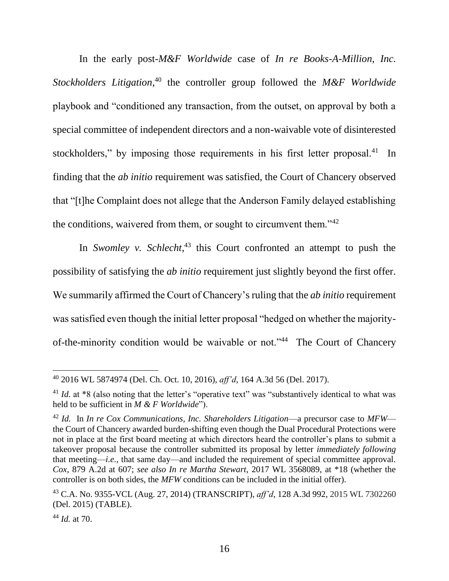In the early post-*M&F Worldwide* case of *In re Books-A-Million, Inc. Stockholders Litigation*, <sup>40</sup> the controller group followed the *M&F Worldwide*  playbook and "conditioned any transaction, from the outset, on approval by both a special committee of independent directors and a non-waivable vote of disinterested stockholders," by imposing those requirements in his first letter proposal.<sup>41</sup> In finding that the *ab initio* requirement was satisfied, the Court of Chancery observed that "[t]he Complaint does not allege that the Anderson Family delayed establishing the conditions, waivered from them, or sought to circumvent them."<sup>42</sup>

In *Swomley v. Schlecht*<sup>43</sup>, this Court confronted an attempt to push the possibility of satisfying the *ab initio* requirement just slightly beyond the first offer. We summarily affirmed the Court of Chancery's ruling that the *ab initio* requirement was satisfied even though the initial letter proposal "hedged on whether the majorityof-the-minority condition would be waivable or not."<sup>44</sup> The Court of Chancery

 $\overline{a}$ <sup>40</sup> 2016 WL 5874974 (Del. Ch. Oct. 10, 2016), *aff'd*, 164 A.3d 56 (Del. 2017).

<sup>&</sup>lt;sup>41</sup> *Id.* at \*8 (also noting that the letter's "operative text" was "substantively identical to what was held to be sufficient in *M & F Worldwide*").

<sup>42</sup> *Id.* In *In re Cox Communications, Inc. Shareholders Litigation*—a precursor case to *MFW* the Court of Chancery awarded burden-shifting even though the Dual Procedural Protections were not in place at the first board meeting at which directors heard the controller's plans to submit a takeover proposal because the controller submitted its proposal by letter *immediately following* that meeting—*i.e.*, that same day—and included the requirement of special committee approval. *Cox*, 879 A.2d at 607; *see also In re Martha Stewart*, 2017 WL 3568089, at \*18 (whether the controller is on both sides, the *MFW* conditions can be included in the initial offer).

<sup>43</sup> C.A. No. 9355-VCL (Aug. 27, 2014) (TRANSCRIPT), *aff'd*, 128 A.3d 992, 2015 WL 7302260 (Del. 2015) (TABLE).

<sup>44</sup> *Id.* at 70.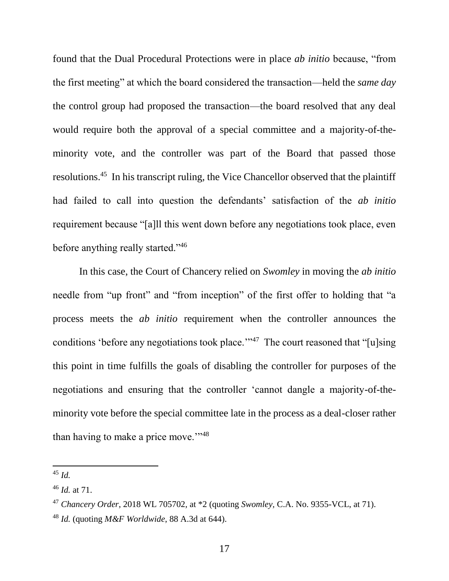found that the Dual Procedural Protections were in place *ab initio* because, "from the first meeting" at which the board considered the transaction—held the *same day* the control group had proposed the transaction—the board resolved that any deal would require both the approval of a special committee and a majority-of-theminority vote, and the controller was part of the Board that passed those resolutions.<sup>45</sup> In his transcript ruling, the Vice Chancellor observed that the plaintiff had failed to call into question the defendants' satisfaction of the *ab initio*  requirement because "[a]ll this went down before any negotiations took place, even before anything really started."<sup>46</sup>

In this case, the Court of Chancery relied on *Swomley* in moving the *ab initio* needle from "up front" and "from inception" of the first offer to holding that "a process meets the *ab initio* requirement when the controller announces the conditions 'before any negotiations took place."<sup>47</sup> The court reasoned that "[u]sing this point in time fulfills the goals of disabling the controller for purposes of the negotiations and ensuring that the controller 'cannot dangle a majority-of-theminority vote before the special committee late in the process as a deal-closer rather than having to make a price move."<sup>48</sup>

 $45$  *Id.* 

<sup>46</sup> *Id.* at 71.

<sup>47</sup> *Chancery Order*, 2018 WL 705702, at \*2 (quoting *Swomley,* C.A. No. 9355-VCL, at 71).

<sup>48</sup> *Id.* (quoting *M&F Worldwide*, 88 A.3d at 644).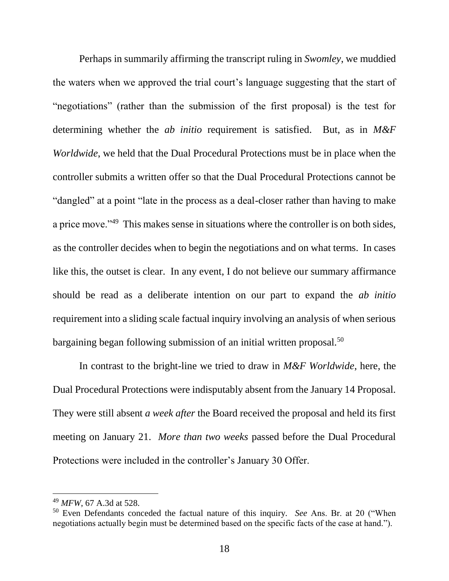Perhaps in summarily affirming the transcript ruling in *Swomley*, we muddied the waters when we approved the trial court's language suggesting that the start of "negotiations" (rather than the submission of the first proposal) is the test for determining whether the *ab initio* requirement is satisfied. But, as in *M&F Worldwide*, we held that the Dual Procedural Protections must be in place when the controller submits a written offer so that the Dual Procedural Protections cannot be "dangled" at a point "late in the process as a deal-closer rather than having to make a price move."<sup>49</sup> This makes sense in situations where the controller is on both sides, as the controller decides when to begin the negotiations and on what terms. In cases like this, the outset is clear. In any event, I do not believe our summary affirmance should be read as a deliberate intention on our part to expand the *ab initio* requirement into a sliding scale factual inquiry involving an analysis of when serious bargaining began following submission of an initial written proposal.<sup>50</sup>

In contrast to the bright-line we tried to draw in *M&F Worldwide*, here, the Dual Procedural Protections were indisputably absent from the January 14 Proposal. They were still absent *a week after* the Board received the proposal and held its first meeting on January 21. *More than two weeks* passed before the Dual Procedural Protections were included in the controller's January 30 Offer.

<sup>49</sup> *MFW*, 67 A.3d at 528.

<sup>50</sup> Even Defendants conceded the factual nature of this inquiry. *See* Ans. Br. at 20 ("When negotiations actually begin must be determined based on the specific facts of the case at hand.").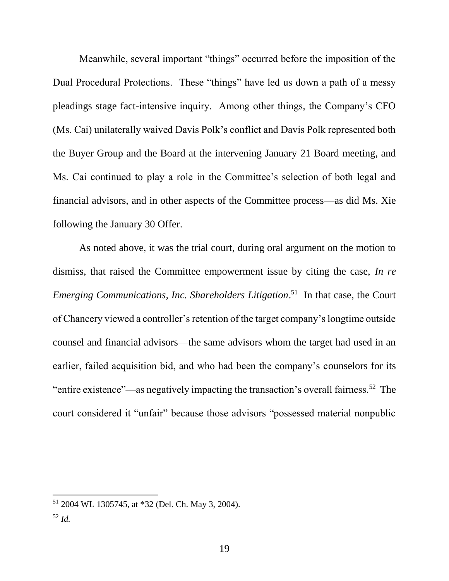Meanwhile, several important "things" occurred before the imposition of the Dual Procedural Protections. These "things" have led us down a path of a messy pleadings stage fact-intensive inquiry. Among other things, the Company's CFO (Ms. Cai) unilaterally waived Davis Polk's conflict and Davis Polk represented both the Buyer Group and the Board at the intervening January 21 Board meeting, and Ms. Cai continued to play a role in the Committee's selection of both legal and financial advisors, and in other aspects of the Committee process—as did Ms. Xie following the January 30 Offer.

As noted above, it was the trial court, during oral argument on the motion to dismiss, that raised the Committee empowerment issue by citing the case, *In re Emerging Communications, Inc. Shareholders Litigation*. 51 In that case, the Court of Chancery viewed a controller's retention of the target company's longtime outside counsel and financial advisors—the same advisors whom the target had used in an earlier, failed acquisition bid, and who had been the company's counselors for its "entire existence"—as negatively impacting the transaction's overall fairness.<sup>52</sup> The court considered it "unfair" because those advisors "possessed material nonpublic

<sup>51</sup> 2004 WL 1305745, at \*32 (Del. Ch. May 3, 2004).

<sup>52</sup> *Id.*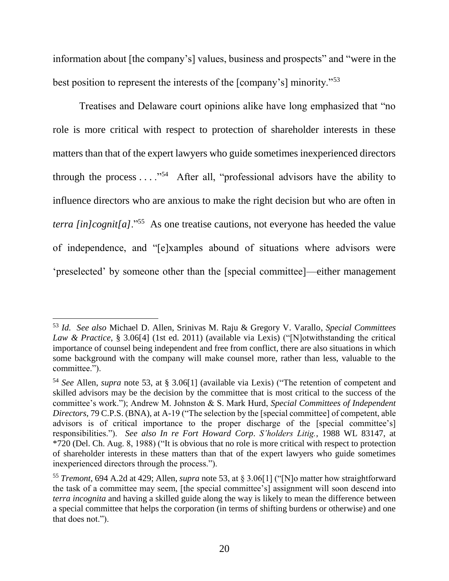information about [the company's] values, business and prospects" and "were in the best position to represent the interests of the [company's] minority."<sup>53</sup>

Treatises and Delaware court opinions alike have long emphasized that "no role is more critical with respect to protection of shareholder interests in these matters than that of the expert lawyers who guide sometimes inexperienced directors through the process  $\dots$ ."<sup>54</sup> After all, "professional advisors have the ability to influence directors who are anxious to make the right decision but who are often in *terra [in]cognit[a]*."<sup>55</sup> As one treatise cautions, not everyone has heeded the value of independence, and "[e]xamples abound of situations where advisors were 'preselected' by someone other than the [special committee]—either management

<sup>53</sup> *Id. See also* Michael D. Allen, Srinivas M. Raju & Gregory V. Varallo, *Special Committees Law & Practice*, § 3.06[4] (1st ed. 2011) (available via Lexis) ("[N]otwithstanding the critical importance of counsel being independent and free from conflict, there are also situations in which some background with the company will make counsel more, rather than less, valuable to the committee.").

<sup>54</sup> *See* Allen, *supra* note 53, at § 3.06[1] (available via Lexis) ("The retention of competent and skilled advisors may be the decision by the committee that is most critical to the success of the committee's work."); Andrew M. Johnston & S. Mark Hurd, *Special Committees of Independent Directors*, 79 C.P.S. (BNA), at A-19 ("The selection by the [special committee] of competent, able advisors is of critical importance to the proper discharge of the [special committee's] responsibilities."). *See also In re Fort Howard Corp*. *S'holders Litig.*, 1988 WL 83147, at \*720 (Del. Ch. Aug. 8, 1988) ("It is obvious that no role is more critical with respect to protection of shareholder interests in these matters than that of the expert lawyers who guide sometimes inexperienced directors through the process.").

<sup>55</sup> *Tremont*, 694 A.2d at 429; Allen, *supra* note 53, at § 3.06[1] ("[N]o matter how straightforward the task of a committee may seem, [the special committee's] assignment will soon descend into *terra incognita* and having a skilled guide along the way is likely to mean the difference between a special committee that helps the corporation (in terms of shifting burdens or otherwise) and one that does not.").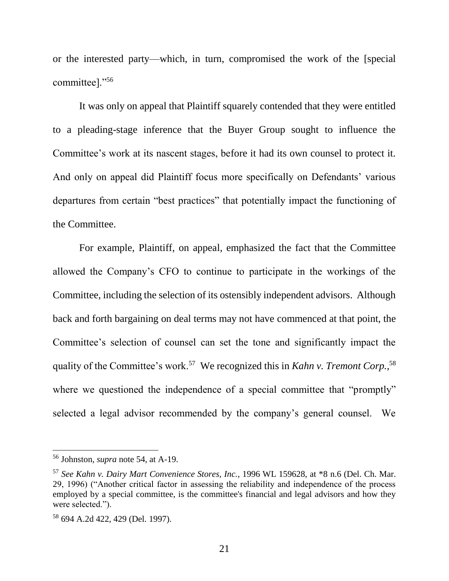or the interested party—which, in turn, compromised the work of the [special committee]."<sup>56</sup>

It was only on appeal that Plaintiff squarely contended that they were entitled to a pleading-stage inference that the Buyer Group sought to influence the Committee's work at its nascent stages, before it had its own counsel to protect it. And only on appeal did Plaintiff focus more specifically on Defendants' various departures from certain "best practices" that potentially impact the functioning of the Committee.

For example, Plaintiff, on appeal, emphasized the fact that the Committee allowed the Company's CFO to continue to participate in the workings of the Committee, including the selection of its ostensibly independent advisors. Although back and forth bargaining on deal terms may not have commenced at that point, the Committee's selection of counsel can set the tone and significantly impact the quality of the Committee's work.<sup>57</sup> We recognized this in *Kahn v. Tremont Corp.*,<sup>58</sup> where we questioned the independence of a special committee that "promptly" selected a legal advisor recommended by the company's general counsel. We

<sup>56</sup> Johnston, *supra* note 54, at A-19.

<sup>57</sup> *See Kahn v. Dairy Mart Convenience Stores, Inc.*, 1996 WL 159628, at \*8 n.6 (Del. Ch. Mar. 29, 1996) ("Another critical factor in assessing the reliability and independence of the process employed by a special committee, is the committee's financial and legal advisors and how they were selected.").

<sup>58</sup> 694 A.2d 422, 429 (Del. 1997).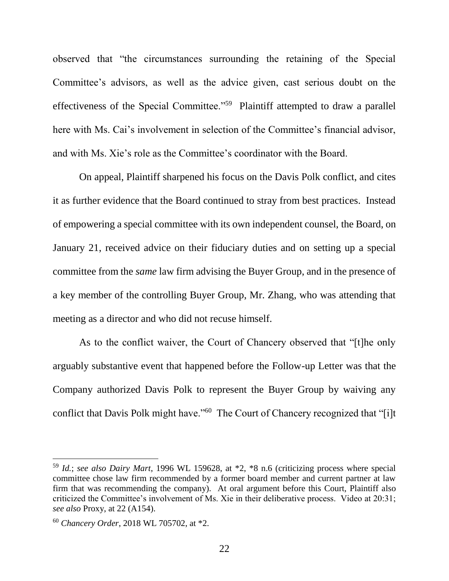observed that "the circumstances surrounding the retaining of the Special Committee's advisors, as well as the advice given, cast serious doubt on the effectiveness of the Special Committee."<sup>59</sup> Plaintiff attempted to draw a parallel here with Ms. Cai's involvement in selection of the Committee's financial advisor, and with Ms. Xie's role as the Committee's coordinator with the Board.

On appeal, Plaintiff sharpened his focus on the Davis Polk conflict, and cites it as further evidence that the Board continued to stray from best practices. Instead of empowering a special committee with its own independent counsel, the Board, on January 21, received advice on their fiduciary duties and on setting up a special committee from the *same* law firm advising the Buyer Group, and in the presence of a key member of the controlling Buyer Group, Mr. Zhang, who was attending that meeting as a director and who did not recuse himself.

As to the conflict waiver, the Court of Chancery observed that "[t]he only arguably substantive event that happened before the Follow-up Letter was that the Company authorized Davis Polk to represent the Buyer Group by waiving any conflict that Davis Polk might have."<sup>60</sup> The Court of Chancery recognized that "[i]t

<sup>59</sup> *Id.*; *see also Dairy Mart*, 1996 WL 159628, at \*2, \*8 n.6 (criticizing process where special committee chose law firm recommended by a former board member and current partner at law firm that was recommending the company). At oral argument before this Court, Plaintiff also criticized the Committee's involvement of Ms. Xie in their deliberative process. Video at 20:31; *see also* Proxy, at 22 (A154).

<sup>60</sup> *Chancery Order*, 2018 WL 705702, at \*2.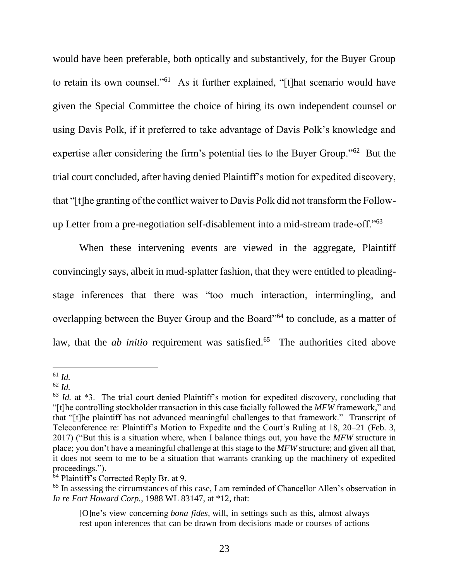would have been preferable, both optically and substantively, for the Buyer Group to retain its own counsel."<sup>61</sup> As it further explained, "[t]hat scenario would have given the Special Committee the choice of hiring its own independent counsel or using Davis Polk, if it preferred to take advantage of Davis Polk's knowledge and expertise after considering the firm's potential ties to the Buyer Group."<sup>62</sup> But the trial court concluded, after having denied Plaintiff's motion for expedited discovery, that "[t]he granting of the conflict waiver to Davis Polk did not transform the Followup Letter from a pre-negotiation self-disablement into a mid-stream trade-off."<sup>63</sup>

When these intervening events are viewed in the aggregate, Plaintiff convincingly says, albeit in mud-splatter fashion, that they were entitled to pleadingstage inferences that there was "too much interaction, intermingling, and overlapping between the Buyer Group and the Board"<sup>64</sup> to conclude, as a matter of law, that the *ab initio* requirement was satisfied.<sup>65</sup> The authorities cited above

<sup>61</sup> *Id.*

<sup>62</sup> *Id.*

<sup>&</sup>lt;sup>63</sup> *Id.* at \*3. The trial court denied Plaintiff's motion for expedited discovery, concluding that "[t]he controlling stockholder transaction in this case facially followed the *MFW* framework," and that "[t]he plaintiff has not advanced meaningful challenges to that framework." Transcript of Teleconference re: Plaintiff's Motion to Expedite and the Court's Ruling at 18, 20–21 (Feb. 3, 2017) ("But this is a situation where, when I balance things out, you have the *MFW* structure in place; you don't have a meaningful challenge at this stage to the *MFW* structure; and given all that, it does not seem to me to be a situation that warrants cranking up the machinery of expedited proceedings.").

 $64$  Plaintiff's Corrected Reply Br. at 9.

<sup>&</sup>lt;sup>65</sup> In assessing the circumstances of this case, I am reminded of Chancellor Allen's observation in *In re Fort Howard Corp.*, 1988 WL 83147, at \*12, that:

<sup>[</sup>O]ne's view concerning *bona fides,* will, in settings such as this, almost always rest upon inferences that can be drawn from decisions made or courses of actions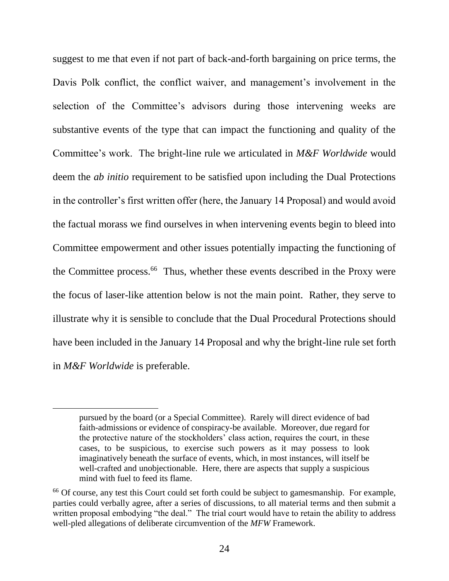suggest to me that even if not part of back-and-forth bargaining on price terms, the Davis Polk conflict, the conflict waiver, and management's involvement in the selection of the Committee's advisors during those intervening weeks are substantive events of the type that can impact the functioning and quality of the Committee's work. The bright-line rule we articulated in *M&F Worldwide* would deem the *ab initio* requirement to be satisfied upon including the Dual Protections in the controller's first written offer (here, the January 14 Proposal) and would avoid the factual morass we find ourselves in when intervening events begin to bleed into Committee empowerment and other issues potentially impacting the functioning of the Committee process.<sup>66</sup> Thus, whether these events described in the Proxy were the focus of laser-like attention below is not the main point. Rather, they serve to illustrate why it is sensible to conclude that the Dual Procedural Protections should have been included in the January 14 Proposal and why the bright-line rule set forth in *M&F Worldwide* is preferable.

pursued by the board (or a Special Committee). Rarely will direct evidence of bad faith-admissions or evidence of conspiracy-be available. Moreover, due regard for the protective nature of the stockholders' class action, requires the court, in these cases, to be suspicious, to exercise such powers as it may possess to look imaginatively beneath the surface of events, which, in most instances, will itself be well-crafted and unobjectionable. Here, there are aspects that supply a suspicious mind with fuel to feed its flame.

<sup>&</sup>lt;sup>66</sup> Of course, any test this Court could set forth could be subject to gamesmanship. For example, parties could verbally agree, after a series of discussions, to all material terms and then submit a written proposal embodying "the deal." The trial court would have to retain the ability to address well-pled allegations of deliberate circumvention of the *MFW* Framework.